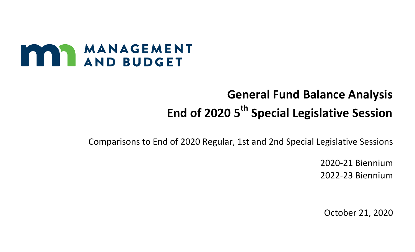## **MANAGEMENT**

## **General Fund Balance Analysis** End of 2020 5<sup>th</sup> Special Legislative Session

Comparisons to End of 2020 Regular, 1st and 2nd Special Legislative Sessions

2020-21 Biennium 2022-23 Biennium

October 21, 2020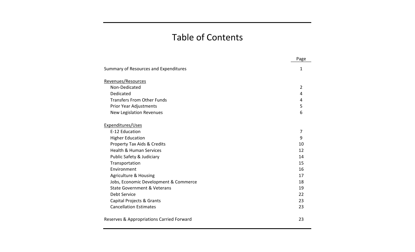## Table of Contents

|                                           | Page           |
|-------------------------------------------|----------------|
| Summary of Resources and Expenditures     | 1              |
| Revenues/Resources                        |                |
| Non-Dedicated                             | $\overline{2}$ |
| Dedicated                                 | 4              |
| <b>Transfers From Other Funds</b>         | 4              |
| Prior Year Adjustments                    | 5              |
| <b>New Legislation Revenues</b>           | 6              |
| Expenditures/Uses                         |                |
| E-12 Education                            | 7              |
| <b>Higher Education</b>                   | 9              |
| Property Tax Aids & Credits               | 10             |
| <b>Health &amp; Human Services</b>        | 12             |
| Public Safety & Judiciary                 | 14             |
| Transportation                            | 15             |
| Environment                               | 16             |
| <b>Agriculture &amp; Housing</b>          | 17             |
| Jobs, Economic Development & Commerce     | 18             |
| <b>State Government &amp; Veterans</b>    | 19             |
| Debt Service                              | 22             |
| Capital Projects & Grants                 | 23             |
| <b>Cancellation Estimates</b>             | 23             |
| Reserves & Appropriations Carried Forward | 23             |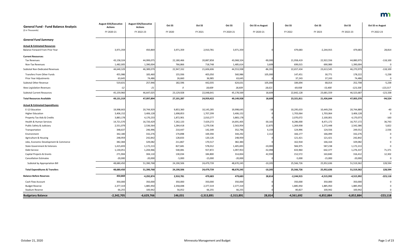| <b>General Fund - Fund Balance Analysis</b> | <b>August EOS/Executive</b><br><b>Actions</b> | <b>August EOS/Executive</b><br><b>Actions</b> | Oct SS     | Oct SS       | Oct SS       | <b>Oct SS vs August</b> | Oct SS       | Oct SS       | Oct SS       | <b>Oct SS vs August</b> |
|---------------------------------------------|-----------------------------------------------|-----------------------------------------------|------------|--------------|--------------|-------------------------|--------------|--------------|--------------|-------------------------|
| (\$ in Thousands)                           | FY 2020-21                                    | FY 2022-23                                    | FY 2020    | FY 2021      | FY 2020-21   | FY 2020-21              | FY 2022      | FY 2023      | FY 2022-23   | FY 2022-23              |
| <b>General Fund Summary</b>                 |                                               |                                               |            |              |              |                         |              |              |              |                         |
| <b>Actual &amp; Estimated Resources</b>     |                                               |                                               |            |              |              |                         |              |              |              |                         |
| Balance Forward From Prior Year             | 3,971,359                                     | 450,869                                       | 3,971,359  | 2,910,781    | 3,971,359    |                         | 479,683      | $-2,244,915$ | 479,683      | 28,814                  |
| <b>Current Resources:</b>                   |                                               |                                               |            |              |              |                         |              |              |              |                         |
| <b>Tax Revenues</b>                         | 43,158,324                                    | 44,999,075                                    | 22,180,466 | 20,887,858   | 43,068,324   | $-90,000$               | 21,958,419   | 22,922,556   | 44,880,975   | $-118,100$              |
| Non-Tax Revenues                            | 1,482,005                                     | 1,390,004                                     | 766,866    | 718,748      | 1,485,614    | 3,609                   | 699,015      | 690,989      | 1,390,004    |                         |
| <b>Subtotal Non-Dedicated Revenues</b>      | 44,640,329                                    | 46,389,079                                    | 22,947,332 | 21,606,606   | 44,553,938   | $-86,391$               | 22,657,434   | 23,613,545   | 46,270,979   | $-118,100$              |
| Transfers From Other Funds                  | 455,986                                       | 183,460                                       | 155,936    | 405,050      | 560,986      | 105,000                 | 147,451      | 30,771       | 178,222      | $-5,238$                |
| Prior Year Adjustments                      | 63,645                                        | 74,486                                        | 26,660     | 36,985       | 63,645       |                         | 37,243       | 37,243       | 74,486       |                         |
| Subtotal Other Revenue                      | 519,631                                       | 257,946                                       | 182,596    | 442,035      | 624,631      | 105,000                 | 184,694      | 68,014       | 252,708      | $-5,238$                |
| <b>New Legislation Revenues</b>             | $-12$                                         | $-21$                                         | 0          | 18,609       | 18,609       | 18,621                  | $-69,938$    | $-53,400$    | $-123,338$   | $-123,317$              |
| <b>Subtotal Current Resources</b>           | 45,159,960                                    | 46,647,025                                    | 23,129,928 | 22,048,641   | 45,178,569   | 18,609                  | 22,842,128   | 23,681,559   | 46,523,687   | $-123,338$              |
| <b>Total Resources Available</b>            | 49,131,319                                    | 47,097,894                                    | 27,101,287 | 24,959,422   | 49,149,928   | 18,609                  | 23,321,811   | 21,436,644   | 47,003,370   | $-94,524$               |
| <b>Actual &amp; Estimated Expenditures</b>  |                                               |                                               |            |              |              |                         |              |              |              |                         |
| E-12 Education                              | 19,998,663                                    | 20,744,929                                    | 9,853,360  | 10,145,285   | 19,998,645   | -18                     | 10,295,633   | 10,449,256   | 20,744,889   | $-40$                   |
| <b>Higher Education</b>                     | 3,406,152                                     | 3,406,128                                     | 1,698,853  | 1,707,299    | 3,406,152    |                         | 1,703,064    | 1,703,064    | 3,406,128    |                         |
| Property Tax Aids & Credits                 | 3,883,178                                     | 4,170,233                                     | 1,872,901  | 2,010,277    | 3,883,178    |                         | 2,070,072    | 2,100,001    | 4,170,073    | $-160$                  |
| Health & Human Services                     | 14,721,570                                    | 16,720,429                                    | 7,262,133  | 7,429,272    | 14,691,405   | $-30,165$               | 8,286,000    | 8,471,172    | 16,757,172   | 36,743                  |
| Public Safety & Judiciary                   | 2,551,079                                     | 2,536,564                                     | 1,284,418  | 1,279,536    | 2,563,954    | 12,875                  | 1,269,938    | 1,272,448    | 2,542,386    | 5,822                   |
| Transportation                              | 348,637                                       | 246,996                                       | 210,447    | 142,349      | 352,796      | 4,159                   | 124,996      | 124,556      | 249,552      | 2,556                   |
| Environment                                 | 342,180                                       | 332,276                                       | 174,898    | 169,394      | 344,292      | 2,112                   | 166,177      | 166,099      | 332,276      |                         |
| Agriculture & Housing                       | 248,959                                       | 242,842                                       | 128,833    | 120,126      | 248,959      |                         | 121,421      | 121,421      | 242,842      |                         |
| Jobs, Economic Development & Commerce       | 382,384                                       | 329,082                                       | 211,867    | 170,517      | 382,384      |                         | 162,918      | 166,164      | 329,082      |                         |
| State Government & Veterans                 | 1,415,693                                     | 1,172,213                                     | 827,681    | 578,012      | 1,405,693    | $-10,000$               | 584,975      | 587,238      | 1,172,213    |                         |
| Debt Service                                | 1,130,051                                     | 1,204,966                                     | 540,081    | 557,872      | 1,097,953    | $-32,098$               | 633,960      | 642,377      | 1,276,337    | 71,371                  |
| Capital Projects & Grants                   | 271,904                                       | 304,110                                       | 130,034    | 184,800      | 314,834      | 42,930                  | 152,572      | 163,840      | 316,412      | 12,302                  |
| <b>Cancellation Estimates</b>               | $-20,000$                                     | $-20,000$                                     | $-5,000$   | $-15,000$    | $-20,000$    |                         | $-5,000$     | $-15,000$    | $-20,000$    | 0                       |
| Subtotal by Appropriation Bill              | 48,680,450                                    | 51,390,768                                    | 24,190,506 | 24,479,739   | 48,670,245   | $-10,205$               | 25,566,726   | 25,952,636   | 51,519,362   | 128,594                 |
| <b>Total Expenditures &amp; Transfers</b>   | 48,680,450                                    | 51,390,768                                    | 24,190,506 | 24,479,739   | 48,670,245   | $-10,205$               | 25,566,726   | 25,952,636   | 51,519,362   | 128,594                 |
| <b>Balance Before Reserves</b>              | 450,869                                       | $-4,292,874$                                  | 2,910,781  | 479,683      | 479,683      | 28,814                  | $-2,244,915$ | $-4,515,992$ | $-4,515,992$ | $-223,118$              |
| Cash Flow Account                           | 350,000                                       | 350,000                                       | 350,000    | 350,000      | 350,000      |                         | 350,000      | 350,000      | 350,000      |                         |
| <b>Budget Reserve</b>                       | 2,377,319                                     | 1,885,950                                     | 2,358,698  | 2,377,319    | 2,377,319    |                         | 1,885,950    | 1,885,950    | 1,885,950    |                         |
| Stadium Reserve                             | 66,255                                        | 100,942                                       | 56,052     | 66,255       | 66,255       |                         | 80,827       | 100,942      | 100,942      |                         |
| <b>Budgetary Balance</b>                    | $-2,342,705$                                  | $-6,629,766$                                  | 146,031    | $-2,313,891$ | $-2,313,891$ | 28,814                  | $-4,561,692$ | $-6,852,884$ | $-6,852,884$ | $-223,118$              |

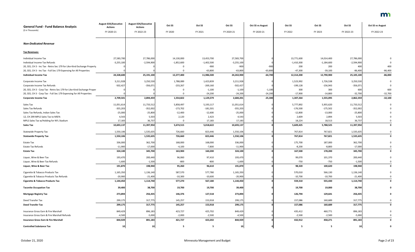| <b>General Fund - Fund Balance Analysis</b>                             | <b>August EOS/Executive</b><br><b>Actions</b> | <b>August EOS/Executive</b><br><b>Actions</b> | Oct SS                  | Oct SS                  | Oct SS       | <b>Oct SS vs August</b> | Oct SS       | Oct SS                  | Oct SS       | <b>Oct SS vs August</b> |
|-------------------------------------------------------------------------|-----------------------------------------------|-----------------------------------------------|-------------------------|-------------------------|--------------|-------------------------|--------------|-------------------------|--------------|-------------------------|
| (\$ in Thousands)                                                       | FY 2020-21                                    | FY 2022-23                                    | FY 2020                 | FY 2021                 | FY 2020-21   | FY 2020-21              | FY 2022      | FY 2023                 | FY 2022-23   | FY 2022-23              |
| <b>Non-Dedicated Revenue</b>                                            |                                               |                                               |                         |                         |              |                         |              |                         |              |                         |
| <b>Tax Revenues:</b>                                                    |                                               |                                               |                         |                         |              |                         |              |                         |              |                         |
| Individual Income Tax                                                   | 27,583,700                                    | 27,786,000                                    | 14,130,000              | 13,453,700              | 27,583,700   |                         | 13,771,600   | 14,014,400              | 27,786,000   |                         |
| Individual Income Tax Refunds                                           | $-3,255,100$                                  | $-2,594,900$                                  | $-1,852,600$            | $-1,402,500$            | $-3,255,100$ |                         | $-1,410,300$ | $-1,184,600$            | $-2,594,900$ |                         |
| 20, SS5, CH 3 - Inc Tax - Retro Sec 179 for Like-Kind Exchange Property |                                               |                                               | -0                      | $-900$                  | $-900$       | $-900$                  | 200          | 200                     | 400          | 400                     |
| 20, SS5, CH 3 - Inc Tax - Full Sec 179 Expensing for All Properties     |                                               |                                               | 0                       | $-63,800$               | $-63,800$    | $-63,800$               | $-47,300$    | $-39,100$               | $-86,400$    | $-86,400$               |
| <b>Individual Income Tax</b>                                            | 24,328,600                                    | 25,191,100                                    | 12,277,400              | 11,986,500              | 24,263,900   | $-64,700$               | 12,314,200   | 12,790,900              | 25,105,100   | $-86,000$               |
| Corporate Income Tax                                                    | 3,211,928                                     | 3,250,530                                     | 1,788,089               | 1,423,839               | 3,211,928    |                         | 1,523,992    | 1,726,538               | 3,250,530    |                         |
| Corporate Income Tax Refunds                                            | $-502,427$                                    | $-356,071$                                    | $-233,267$              | $-269,160$              | $-502,427$   |                         | $-199,128$   | $-156,943$              | $-356,071$   |                         |
| 20, SS5, CH 3 - Corp Tax - Retro Sec 179 for Like-Kind Exchange Proper  |                                               |                                               |                         | $-1,100$                | $-1,100$     | $-1,100$                | 300          | 300                     | 600          | 600                     |
| 20, SS5, CH 3 - Corp Tax - Full Sec 179 Expensing for All Properties    |                                               |                                               |                         | $-24,200$               | $-24,200$    | $-24,200$               | $-17,900$    | $-14,800$               | $-32,700$    | $-32,700$               |
| <b>Corporate Income Tax</b>                                             | 2,709,501                                     | 2,894,459                                     | 1,554,822               | 1,129,379               | 2,684,201    | $-25,300$               | 1,307,264    | 1,555,095               | 2,862,359    | $-32,100$               |
|                                                                         |                                               |                                               |                         |                         |              |                         |              |                         |              |                         |
| Sales Tax                                                               | 11,051,614                                    | 11,733,512                                    | 5,858,497               | 5,193,117               | 11,051,614   |                         | 5,777,892    | 5,955,620               | 11,733,512   |                         |
| Sales Tax Refunds                                                       | $-355,203$                                    | $-352,002$                                    | $-173,702$              | $-181,501$              | $-355,203$   |                         | $-176,500$   | $-175,502$              | $-352,002$   |                         |
| Sales Tax Refunds, Indian Sales Tax                                     | $-25,000$                                     | $-25,800$                                     | $-12,400$               | $-12,600$               | $-25,000$    |                         | $-12,800$    | $-13,000$               | $-25,800$    |                         |
| 12, CH 299 MPLS Sales Tax to MSFA                                       | 4,543                                         | 5,503                                         | 2,120                   | 2,423                   | 4,543        |                         | 2,609        | 2,894                   | 5,503        |                         |
| MPLS Sales Tax w/Holding for NFL Stadium                                | 17,183                                        | 36,737                                        |                         | 17,183                  | 17,183       |                         | 18,224       | 18,513                  | 36,737       |                         |
| Sales Tax                                                               | 10,693,137                                    | 11,397,950                                    | 5,674,515               | 5,018,622               | 10,693,137   |                         | 5,609,425    | 5,788,525               | 11,397,950   |                         |
| <b>Statewide Property Tax</b>                                           | 1,550,106                                     | 1,535,635                                     | 726,660                 | 823,446                 | 1,550,106    |                         | 767,814      | 767,821                 | 1,535,635    |                         |
| <b>Statewide Property Tax</b>                                           | 1,550,106                                     | 1,535,635                                     | 726,660                 | 823,446                 | 1,550,106    |                         | 767,814      | 767,821                 | 1,535,635    |                         |
| <b>Estate Tax</b>                                                       | 336,000                                       | 362,700                                       | 168,000                 | 168,000                 | 336,000      |                         | 175,700      | 187,000                 | 362,700      |                         |
| <b>Estate Tax Refunds</b>                                               | $-11,900$                                     | $-17,000$                                     | $-4,100$                | $-7,800$                | $-11,900$    |                         | $-8,200$     | $-8,800$                | $-17,000$    |                         |
| <b>Estate Tax</b>                                                       | 324,100                                       | 345,700                                       | 163,900                 | 160,200                 | 324,100      |                         | 167,500      | 178,200                 | 345,700      |                         |
|                                                                         | 193,470                                       | 200,440                                       | 96,060                  | 97,410                  |              |                         | 99,070       | 101,370                 | 200,440      |                         |
| Liquor, Wine & Beer Tax                                                 | $-1,600$                                      | $-1,500$                                      | $-800$                  | $-800$                  | 193,470      |                         | $-750$       | $-750$                  | $-1,500$     |                         |
| Liquor, Wine & Beer Tax Refunds                                         |                                               |                                               |                         |                         | $-1,600$     |                         |              |                         |              |                         |
| Liquor, Wine & Beer Tax                                                 | 191,870                                       | 198,940                                       | 95,260                  | 96,610                  | 191,870      |                         | 98,320       | 100,620                 | 198,940      |                         |
| Cigarette & Tobacco Products Tax                                        | 1,165,350                                     | 1,136,140                                     | 587,570                 | 577,780                 | 1,165,350    |                         | 570,010      | 566,130                 | 1,136,140    |                         |
| Cigarette & Tobacco Products Tax Refunds                                | $-20,900$                                     | $-21,400$                                     | $-10,300$               | $-10,600$               | $-20,900$    |                         | $-10,700$    | $-10,700$               | $-21,400$    |                         |
| <b>Cigarette &amp; Tobacco Products Tax</b>                             | 1,144,450                                     | 1,114,740                                     | 577,270                 | 567,180                 | 1,144,450    |                         | 559,310      | 555,430                 | 1,114,740    |                         |
| <b>Taconite Occupation Tax</b>                                          | 39,400                                        | 38,700                                        | 19,700                  | 19,700                  | 39,400       |                         | 19,700       | 19,000                  | 38,700       |                         |
| <b>Mortgage Registry Tax</b>                                            | 273,894                                       | 256,435                                       | 146,376                 | 127,518                 | 273,894      |                         | 126,794      | 129,641                 | 256,435      |                         |
| Deed Transfer Tax                                                       | 299,175                                       | 317,775                                       | 145,257                 | 153,918                 | 299,175      |                         | 157,086      | 160,689                 | 317,775      |                         |
| <b>Deed Transfer Tax</b>                                                | 299,175                                       | 317,775                                       | 145,257                 | 153,918                 | 299,175      |                         | 157,086      | 160,689                 | 317,775      |                         |
| Insurance Gross Earn & Fire Marshall                                    | 849,429                                       | 896,183                                       | 423,727                 | 425,702                 | 849,429      |                         | 435,412      | 460,771                 | 896,183      |                         |
| Insurance Gross Earn & Fire Marshall Refunds                            | $-4,500$                                      | $-5,000$                                      | $-2,000$                | $-2,500$                | $-4,500$     |                         | $-2,500$     | $-2,500$                | $-5,000$     |                         |
| <b>Insurance Gross Earn &amp; Fire Marshall</b>                         | 844,929                                       | 891,183                                       | 421,727                 | 423,202                 | 844,929      |                         | 432,912      | 458,271                 | 891,183      |                         |
|                                                                         |                                               |                                               |                         |                         |              |                         |              |                         |              |                         |
| <b>Controlled Substance Tax</b>                                         | 10                                            | 10                                            | $\overline{\mathbf{5}}$ | $\overline{\mathbf{5}}$ | 10           |                         | 5            | $\overline{\mathbf{5}}$ | 10           |                         |

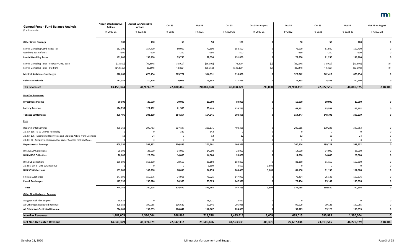| <b>General Fund - Fund Balance Analysis</b>                           | <b>August EOS/Executive</b><br><b>Actions</b> | <b>August EOS/Executive</b><br><b>Actions</b> | Oct SS     | Oct SS     | Oct SS     | <b>Oct SS vs August</b> | Oct SS     | Oct SS         | Oct SS     | <b>Oct SS vs August</b>                                                                                                                                                                                                                                                                                                                                                                                                                                                                                                                                                                            |
|-----------------------------------------------------------------------|-----------------------------------------------|-----------------------------------------------|------------|------------|------------|-------------------------|------------|----------------|------------|----------------------------------------------------------------------------------------------------------------------------------------------------------------------------------------------------------------------------------------------------------------------------------------------------------------------------------------------------------------------------------------------------------------------------------------------------------------------------------------------------------------------------------------------------------------------------------------------------|
| (\$ in Thousands)                                                     | FY 2020-21                                    | FY 2022-23                                    | FY 2020    | FY 2021    | FY 2020-21 | FY 2020-21              | FY 2022    | FY 2023        | FY 2022-23 | FY 2022-23                                                                                                                                                                                                                                                                                                                                                                                                                                                                                                                                                                                         |
| <b>Other Gross Earnings</b>                                           | 100                                           | 100                                           | 50         | 50         | 100        |                         | 50         | 50             | 100        |                                                                                                                                                                                                                                                                                                                                                                                                                                                                                                                                                                                                    |
| Lawful Gambling Comb Rcpts Tax                                        | 152,300                                       | 157,400                                       | 80,000     | 72,300     | 152,300    |                         | 75,900     | 81,500         | 157,400    |                                                                                                                                                                                                                                                                                                                                                                                                                                                                                                                                                                                                    |
| <b>Gambling Tax Refunds</b>                                           | $-500$                                        | $-500$                                        | $-250$     | $-250$     | $-500$     |                         | $-250$     | $-250$         | $-500$     |                                                                                                                                                                                                                                                                                                                                                                                                                                                                                                                                                                                                    |
| <b>Lawful Gambling Taxes</b>                                          | 151,800                                       | 156,900                                       | 79,750     | 72,050     | 151,800    |                         | 75,650     | 81,250         | 156,900    | $\mathbf 0$                                                                                                                                                                                                                                                                                                                                                                                                                                                                                                                                                                                        |
| Lawful Gambling Taxes - February 2012 Base                            | [73, 800]                                     | [73,800]                                      | [36,900]   | [36,900]   | [73,800]   | [0]                     | [36,900]   | [36,900]       | [73,800]   | $[0] % \begin{center} % \includegraphics[width=\linewidth]{imagesSupplemental_3.png} % \end{center} % \caption { % Our method can be used for the use of the image. % Note that the \emph{DefNet}~\cite{bib66} as a function of the \emph{DefNet}~\cite{bib66} as a function of the \emph{DefNet}~\cite{bib66} as a function of the \emph{DefNet}~\cite{bib66} as a function of the \emph{DefNet}~\cite{bib66} as a function of the \emph{DefNet}~\cite{bib66} as a function of the \emph{DefNet}~\cite{bib66} as a function of the \emph{DefNet}~\cite{bib66} as a function of the \emph{DefNet}$ |
| Lawful Gambling Taxes - Stadium                                       | [142, 100]                                    | [83, 100]                                     | [42,850]   | [35, 150]  | [142, 100] | [0]                     | [38, 750]  | [44, 350]      | [83, 100]  | [0]                                                                                                                                                                                                                                                                                                                                                                                                                                                                                                                                                                                                |
| <b>Medical Assistance Surcharges</b>                                  | 618,608                                       | 670,154                                       | 303,777    | 314,831    | 618,608    |                         | 327,742    | 342,412        | 670,154    |                                                                                                                                                                                                                                                                                                                                                                                                                                                                                                                                                                                                    |
| <b>Other Tax Refunds</b>                                              | $-11,356$                                     | $-10,706$                                     | $-6,003$   | $-5,353$   | $-11,356$  |                         | $-5,353$   | $-5,353$       | $-10,706$  |                                                                                                                                                                                                                                                                                                                                                                                                                                                                                                                                                                                                    |
| <b>Tax Revenues</b>                                                   | 43,158,324                                    | 44,999,075                                    | 22,180,466 | 20,887,858 | 43,068,324 | $-90,000$               | 21,958,419 | 22,922,556     | 44,880,975 | $-118,100$                                                                                                                                                                                                                                                                                                                                                                                                                                                                                                                                                                                         |
| <b>Non-Tax Revenues:</b>                                              |                                               |                                               |            |            |            |                         |            |                |            |                                                                                                                                                                                                                                                                                                                                                                                                                                                                                                                                                                                                    |
| <b>Investment Income</b>                                              | 80,000                                        | 20,000                                        | 70,000     | 10,000     | 80,000     |                         | 10,000     | 10,000         | 20,000     |                                                                                                                                                                                                                                                                                                                                                                                                                                                                                                                                                                                                    |
| <b>Lottery Revenue</b>                                                | 124,755                                       | 127,102                                       | 61,500     | 63,255     | 124,755    |                         | 63,551     | 63,551         | 127,102    |                                                                                                                                                                                                                                                                                                                                                                                                                                                                                                                                                                                                    |
| <b>Tobacco Settlements</b>                                            | 308,495                                       | 303,239                                       | 154,254    | 154,241    | 308,495    |                         | 154,447    | 148,792        | 303,239    |                                                                                                                                                                                                                                                                                                                                                                                                                                                                                                                                                                                                    |
| <b>Fees</b>                                                           |                                               |                                               |            |            |            |                         |            |                |            |                                                                                                                                                                                                                                                                                                                                                                                                                                                                                                                                                                                                    |
| <b>Departmental Earnings</b>                                          | 408,368                                       | 399,753                                       | 207,197    | 201,171    | 408,368    |                         | 200,515    | 199,238        | 399,753    |                                                                                                                                                                                                                                                                                                                                                                                                                                                                                                                                                                                                    |
| 20, CH 116 - E-12 License Fee Delay                                   |                                               |                                               | $-342$     | 342        |            |                         | 0          |                |            |                                                                                                                                                                                                                                                                                                                                                                                                                                                                                                                                                                                                    |
| 20, CH 106 - Exempting Hairstylists and Makeup Artists from Licensing | $-12$                                         | $-24$                                         | 0          | $-12$      | $-12$      |                         | $-12$      | $-12$          | $-24$      |                                                                                                                                                                                                                                                                                                                                                                                                                                                                                                                                                                                                    |
| 20, CH 71 - Simplifying Licensing for Water Sources for Food Sales    |                                               |                                               | $\Omega$   | $\Omega$   |            |                         |            | $\overline{2}$ |            |                                                                                                                                                                                                                                                                                                                                                                                                                                                                                                                                                                                                    |
| <b>Departmental Earnings</b>                                          | 408,356                                       | 399,732                                       | 206,855    | 201,501    | 408,356    |                         | 200,504    | 199,228        | 399,732    | 0                                                                                                                                                                                                                                                                                                                                                                                                                                                                                                                                                                                                  |
| DHS MSOP Collections                                                  | 28,000                                        | 28,000                                        | 14,000     | 14,000     | 28,000     |                         | 14,000     | 14,000         | 28,000     |                                                                                                                                                                                                                                                                                                                                                                                                                                                                                                                                                                                                    |
| <b>DHS MSOP Collections</b>                                           | 28,000                                        | 28,000                                        | 14,000     | 14,000     | 28,000     |                         | 14,000     | 14,000         | 28,000     |                                                                                                                                                                                                                                                                                                                                                                                                                                                                                                                                                                                                    |
| DHS SOS Collections                                                   | 159,800                                       | 162,300                                       | 78,650     | 81,150     | 159,800    |                         | 81,150     | 81,150         | 162,300    |                                                                                                                                                                                                                                                                                                                                                                                                                                                                                                                                                                                                    |
| 20, SS5, CH 3 - DHS SOS Revenue                                       |                                               |                                               | 0          | 3,609      | 3,609      | 3,609                   |            |                |            |                                                                                                                                                                                                                                                                                                                                                                                                                                                                                                                                                                                                    |
| <b>DHS SOS Collections</b>                                            | 159,800                                       | 162,300                                       | 78,650     | 84,759     | 163,409    | 3,609                   | 81,150     | 81,150         | 162,300    | 0                                                                                                                                                                                                                                                                                                                                                                                                                                                                                                                                                                                                  |
| Fines & Surcharges                                                    | 147,990                                       | 150,576                                       | 74,965     | 73,025     | 147,990    |                         | 75,434     | 75,142         | 150,576    |                                                                                                                                                                                                                                                                                                                                                                                                                                                                                                                                                                                                    |
| <b>Fine &amp; Surcharges</b>                                          | 147,990                                       | 150,576                                       | 74,965     | 73,025     | 147,990    |                         | 75,434     | 75,142         | 150,576    | $\mathbf{0}$                                                                                                                                                                                                                                                                                                                                                                                                                                                                                                                                                                                       |
| Fees                                                                  | 744,146                                       | 740,608                                       | 374,470    | 373,285    | 747,755    | 3,609                   | 371,088    | 369,520        | 740,608    | 0                                                                                                                                                                                                                                                                                                                                                                                                                                                                                                                                                                                                  |
| <b>Other Non-Dedicated Revenue</b>                                    |                                               |                                               |            |            |            |                         |            |                |            |                                                                                                                                                                                                                                                                                                                                                                                                                                                                                                                                                                                                    |
| Assigned Risk Plan Surplus                                            | 18,621                                        |                                               | 0          | 18,621     | 18,621     |                         | 0          | $\Omega$       |            |                                                                                                                                                                                                                                                                                                                                                                                                                                                                                                                                                                                                    |
| All Other Non-Dedicated Revenue                                       | 205,988                                       | 199,055                                       | 106,642    | 99,346     | 205,988    |                         | 99,929     | 99,126         | 199,055    |                                                                                                                                                                                                                                                                                                                                                                                                                                                                                                                                                                                                    |
| All Other Non-Dedicated Revenue                                       | 224,609                                       | 199,055                                       | 106,642    | 117,967    | 224,609    |                         | 99,929     | 99,126         | 199,055    | 0                                                                                                                                                                                                                                                                                                                                                                                                                                                                                                                                                                                                  |
| <b>Non-Tax Revenues</b>                                               | 1,482,005                                     | 1,390,004                                     | 766,866    | 718,748    | 1,485,614  | 3,609                   | 699,015    | 690,989        | 1,390,004  | 0                                                                                                                                                                                                                                                                                                                                                                                                                                                                                                                                                                                                  |
| <b>Net Non-Dedicated Revenue</b>                                      | 44,640,329                                    | 46,389,079                                    | 22,947,332 | 21,606,606 | 44,553,938 | $-86,391$               | 22,657,434 | 23,613,545     | 46,270,979 | $-118,100$                                                                                                                                                                                                                                                                                                                                                                                                                                                                                                                                                                                         |

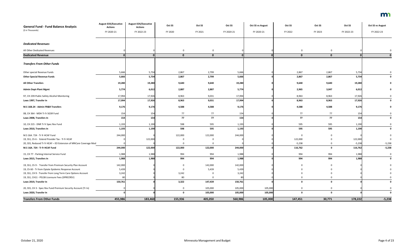| <b>General Fund - Fund Balance Analysis</b>                       | <b>August EOS/Executive</b><br><b>Actions</b> | <b>August EOS/Executive</b><br><b>Actions</b> | Oct SS       | Oct SS       | Oct SS     | <b>Oct SS vs August</b> | Oct SS       | Oct SS       | Oct SS     | <b>Oct SS vs August</b> |
|-------------------------------------------------------------------|-----------------------------------------------|-----------------------------------------------|--------------|--------------|------------|-------------------------|--------------|--------------|------------|-------------------------|
| (\$ in Thousands)                                                 | FY 2020-21                                    | FY 2022-23                                    | FY 2020      | FY 2021      | FY 2020-21 | FY 2020-21              | FY 2022      | FY 2023      | FY 2022-23 | FY 2022-23              |
| <b>Dedicated Revenues</b>                                         |                                               |                                               |              |              |            |                         |              |              |            |                         |
| All Other Dedicated Revenues                                      |                                               |                                               | $\mathbf 0$  | $\mathbf{0}$ |            |                         | $\Omega$     | 0            |            |                         |
| <b>Dedicated Revenue</b>                                          |                                               |                                               | $\mathbf{0}$ | $\mathbf{0}$ |            |                         | $\mathbf{0}$ | $\mathbf{0}$ |            |                         |
| <b>Transfers From Other Funds</b>                                 |                                               |                                               |              |              |            |                         |              |              |            |                         |
| Other special Revenue Funds                                       | 5,666                                         | 5,734                                         | 2,867        | 2,799        | 5,666      |                         | 2,867        | 2,867        | 5,734      |                         |
| <b>Other Special Revenue Funds</b>                                | 5,666                                         | 5,734                                         | 2,867        | 2,799        | 5,666      |                         | 2,867        | 2,867        | 5,734      |                         |
| <b>All Other Transfers</b>                                        | 19,280                                        | 19,280                                        | 9,640        | 9,640        | 19,280     |                         | 9,640        | 9,640        | 19,280     |                         |
| <b>Admin Dept-Plant Mgmt</b>                                      | 5,774                                         | 6,012                                         | 2,887        | 2,887        | 5,774      |                         | 2,965        | 3,047        | 6,012      |                         |
| 97, CH 239-Public Safety Alcohol Monitoring                       | 17,994                                        | 17,926                                        | 8,963        | 9,031        | 17,994     |                         | 8,963        | 8,963        | 17,926     |                         |
| Laws 1997, Transfer In                                            | 17,994                                        | 17,926                                        | 8,963        | 9,031        | 17,994     |                         | 8,963        | 8,963        | 17,926     |                         |
| M.S 16B.24 - Admin FR&R Transfers                                 | 9,176                                         | 9,176                                         | 4,588        | 4,588        | 9,176      |                         | 4,588        | 4,588        | 9,176      |                         |
| 08, CH 364 - MDH Tr fr SGSR Fund                                  | 154                                           | 154                                           | 77           | 77           | 154        |                         | 77           | 77           | 154        |                         |
| Laws 2008, Transfers In                                           | 154                                           | 154                                           | 77           | 77           | 154        |                         | 77           | 77           | 154        |                         |
| 10, CH 215 - DNR Tr fr Spec Rev Fund                              | 1,193                                         | 1,190                                         | 598          | 595          | 1,193      |                         | 595          | 595          | 1,190      |                         |
| Laws 2010, Transfers In                                           | 1,193                                         | 1,190                                         | 598          | 595          | 1,193      |                         | 595          | 595          | 1,190      |                         |
| M.S 16A. 724 - Tr fr HCAF Fund                                    | 244,000                                       |                                               | 122,000      | 122,000      | 244,000    |                         | 0            |              |            |                         |
| 19, SS1, Ch 6 - Extend Provider Tax - Tr fr HCAF                  |                                               | 122,000                                       | 0            | 0            |            |                         | 122,000      |              | 122,000    |                         |
| 20, SS5, Reduced Tr fr HCAF - EO Extension of MNCare Coverage Mod |                                               |                                               |              |              |            |                         | $-5,238$     |              | $-5,238$   | $-5,238$                |
| M.S 16A. 724 - Tr fr HCAF Fund                                    | 244,000                                       | 122,000                                       | 122,000      | 122,000      | 244,000    |                         | 116,762      | 0            | 116,762    | $-5,238$                |
| 15, CH 77 - Parking Internal Service Fund                         | 1,988                                         | 1,988                                         | 994          | 994          | 1,988      |                         | 994          | 994          | 1,988      | $\Omega$                |
| Laws 2015, Transfers In                                           | 1,988                                         | 1,988                                         | 994          | 994          | 1,988      |                         | 994          | 994          | 1,988      |                         |
| 19, SS1, Ch 9 - Transfer from Premium Security Plan Account       | 142,000                                       |                                               | $\Omega$     | 142,000      | 142,000    |                         |              |              |            |                         |
| 19, Ch 60 - Tr from Opiate Epidemic Response Account              | 5,439                                         |                                               | 0            | 5,439        | 5,439      |                         |              |              |            |                         |
| 19, SS1, CH 9 - Transfer from Long Term Care Options Account      | 3,242                                         |                                               | 3,242        |              | 3,242      |                         |              |              |            |                         |
| 19, SS1, CH11 - PELSB Licensure Fees (SPRECREV)                   | 80                                            |                                               | 80           |              | 80         |                         |              |              |            |                         |
| Laws 2019, Transfer In                                            | 150,761                                       |                                               | 3,322        | 147,439      | 150,761    |                         |              |              |            |                         |
| 20, SS5, CH 3 - Spec Rev Fund Premium Security Account (Tr In)    |                                               |                                               | $\mathbf 0$  | 105,000      | 105,000    | 105,000                 | $\Omega$     | $\Omega$     |            |                         |
| Laws 2020, Transfer In                                            |                                               |                                               | $\mathbf 0$  | 105,000      | 105,000    | 105,000                 | $\mathbf 0$  | $\mathbf{0}$ |            |                         |
| <b>Transfers From Other Funds</b>                                 | 455,986                                       | 183,460                                       | 155,936      | 405,050      | 560,986    | 105,000                 | 147,451      | 30,771       | 178,222    | $-5,238$                |

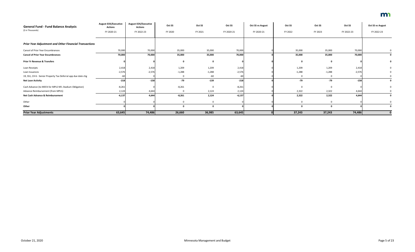| <b>General Fund - Fund Balance Analysis</b><br>(\$ in Thousands) | <b>August EOS/Executive</b><br><b>Actions</b> | <b>August EOS/Executive</b><br><b>Actions</b> | Oct SS      | Oct SS      | Oct SS     | <b>Oct SS vs August</b> | Oct SS   | Oct SS   | Oct SS     | <b>Oct SS vs August</b> |
|------------------------------------------------------------------|-----------------------------------------------|-----------------------------------------------|-------------|-------------|------------|-------------------------|----------|----------|------------|-------------------------|
|                                                                  | FY 2020-21                                    | FY 2022-23                                    | FY 2020     | FY 2021     | FY 2020-21 | FY 2020-21              | FY 2022  | FY 2023  | FY 2022-23 | FY 2022-23              |
| <b>Prior Year Adjustment and Other Financial Transactions</b>    |                                               |                                               |             |             |            |                         |          |          |            |                         |
| <b>Cancel of Prior Year Encumbrances</b>                         | 70,000                                        | 70,000                                        | 35,000      | 35,000      | 70,000     |                         | 35,000   | 35,000   | 70,000     |                         |
| <b>Cancel of Prior Year Encumbrances</b>                         | 70,000                                        | 70,000                                        | 35,000      | 35,000      | 70,000     |                         | 35,000   | 35,000   | 70,000     |                         |
| <b>Prior Yr Revenue &amp; Transfers</b>                          |                                               |                                               | $\mathbf 0$ | $\mathbf 0$ |            |                         |          |          |            |                         |
| Loan Receipts                                                    | 2,418                                         | 2,418                                         | 1,209       | 1,209       | 2,418      |                         | 1,209    | 1,209    | 2,418      |                         |
| Loan Issuances                                                   | $-2,576$                                      | $-2,576$                                      | $-1,288$    | $-1,288$    | $-2,576$   |                         | $-1,288$ | $-1,288$ | $-2,576$   |                         |
| 19, SS1, CH 6 - Senior Property Tax Deferral app due date chg    | -60                                           |                                               | 0           | $-60$       | -60        |                         |          |          |            |                         |
| <b>Net Loan Activity</b>                                         | $-218$                                        | $-158$                                        | $-79$       | $-139$      | $-218$     |                         | $-79$    | $-79$    | $-158$     |                         |
| Cash Advance (to MSFA for MPLS NFL Stadium Obligation)           | $-8,261$                                      |                                               | $-8,261$    | $\mathbf 0$ | $-8,261$   |                         |          |          |            |                         |
| Advance Reimbursement (from MPLS)                                | 2,124                                         | 4,644                                         | 0           | 2,124       | 2,124      |                         | 2,322    | 2,322    | 4,644      |                         |
| Net Cash Advance & Reimbursement                                 | $-6,137$                                      | 4,644                                         | $-8,261$    | 2,124       | $-6,137$   |                         | 2,322    | 2,322    | 4,644      |                         |
| Other                                                            |                                               |                                               | $\mathbf 0$ | $\mathbf 0$ |            |                         |          |          |            |                         |
| Other                                                            |                                               |                                               | $\mathbf 0$ | $\mathbf 0$ |            |                         |          |          |            |                         |
| <b>Prior Year Adjustments</b>                                    | 63,645                                        | 74,486                                        | 26,660      | 36,985      | 63,645     |                         | 37,243   | 37,243   | 74,486     |                         |

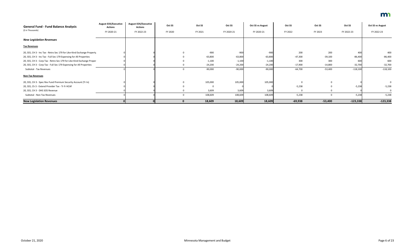| <b>General Fund - Fund Balance Analysis</b><br>(\$ in Thousands)        | <b>August EOS/Executive</b><br><b>Actions</b> | <b>August EOS/Executive</b><br><b>Actions</b> | Oct SS      | Oct SS    | Oct SS     | <b>Oct SS vs August</b> | Oct SS      | Oct SS    | Oct SS     | <b>Oct SS vs August</b> |
|-------------------------------------------------------------------------|-----------------------------------------------|-----------------------------------------------|-------------|-----------|------------|-------------------------|-------------|-----------|------------|-------------------------|
|                                                                         | FY 2020-21                                    | FY 2022-23                                    | FY 2020     | FY 2021   | FY 2020-21 | FY 2020-21              | FY 2022     | FY 2023   | FY 2022-23 | FY 2022-23              |
| <b>New Legislation Revenues</b>                                         |                                               |                                               |             |           |            |                         |             |           |            |                         |
| <b>Tax Revenues</b>                                                     |                                               |                                               |             |           |            |                         |             |           |            |                         |
| 20, SS5, CH 3 - Inc Tax - Retro Sec 179 for Like-Kind Exchange Property |                                               |                                               | $\mathbf 0$ | $-900$    | $-900$     | $-900$                  | 200         | 200       | 400        | 400                     |
| 20, SS5, CH 3 - Inc Tax - Full Sec 179 Expensing for All Properties     |                                               |                                               | $\Omega$    | $-63,800$ | $-63,800$  | $-63,800$               | $-47,300$   | $-39,100$ | $-86,400$  | $-86,400$               |
| 20, SS5, CH 3 - Corp Tax - Retro Sec 179 for Like-Kind Exchange Proper  |                                               |                                               |             | $-1,100$  | $-1,100$   | $-1,100$                | 300         | 300       | 600        | 600                     |
| 20, SS5, CH 3 - Corp Tax - Full Sec 179 Expensing for All Properties    |                                               |                                               | 0           | $-24,200$ | $-24,200$  | $-24,200$               | $-17,900$   | $-14,800$ | $-32,700$  | $-32,700$               |
| Subtotal - Tax Revenues                                                 |                                               |                                               | $\mathbf 0$ | $-90,000$ | $-90,000$  | $-90,000$               | $-64,700$   | $-53,400$ | $-118,100$ | $-118,100$              |
| <b>Non-Tax Revenues</b>                                                 |                                               |                                               |             |           |            |                         |             |           |            |                         |
| 20, SS5, CH 3 - Spec Rev Fund Premium Security Account (Tr In)          |                                               |                                               | 0           | 105,000   | 105,000    | 105,000                 | $\mathbf 0$ | $\Omega$  |            |                         |
| 20, SS5, Ch 3 - Extend Provider Tax - Tr fr HCAF                        |                                               |                                               |             | 0         |            |                         | $-5,238$    |           | $-5,238$   | $-5,238$                |
| 20, SS5, CH 3 - DHS SOS Revenue                                         |                                               |                                               |             | 3,609     | 3,609      | 3,609                   | n           |           |            |                         |
| Subtotal - Non-Tax Revenues                                             |                                               |                                               | $\mathbf 0$ | 108,609   | 108,609    | 108,609                 | $-5,238$    | $\Omega$  | $-5,238$   | $-5,238$                |
| <b>New Legislation Revenues</b>                                         |                                               |                                               |             | 18,609    | 18,609     | 18,609                  | $-69,938$   | $-53,400$ | $-123,338$ | $-123,338$              |

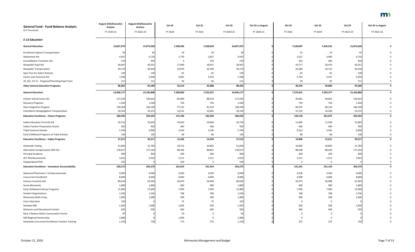| <b>General Fund - Fund Balance Analysis</b>             | <b>August EOS/Executive</b><br><b>Actions</b> | <b>August EOS/Executive</b><br><b>Actions</b> | Oct SS    | Oct SS    | Oct SS     | <b>Oct SS vs August</b> | Oct SS      | Oct SS         | Oct SS     | <b>Oct SS vs August</b> |
|---------------------------------------------------------|-----------------------------------------------|-----------------------------------------------|-----------|-----------|------------|-------------------------|-------------|----------------|------------|-------------------------|
| (\$ in Thousands)                                       | FY 2020-21                                    | FY 2022-23                                    | FY 2020   | FY 2021   | FY 2020-21 | FY 2020-21              | FY 2022     | FY 2023        | FY 2022-23 | FY 2022-23              |
| <b>E-12 Education</b>                                   |                                               |                                               |           |           |            |                         |             |                |            |                         |
| <b>General Education</b>                                | 14,857,975                                    | 15,073,628                                    | 7,348,336 | 7,509,639 | 14,857,975 |                         | 7,528,097   | 7,545,531      | 15,073,628 |                         |
| <b>Enrollment Options Transportation</b>                | 39                                            |                                               | 19        | 20        | 39         |                         | 22          | 23             | 45         |                         |
| Abatement Aid                                           | 4,597                                         | 6,716                                         | 1,770     | 2,827     | 4,597      |                         | 3,221       | 3,495          | 6,716      |                         |
| <b>Consolidation Transition Aid</b>                     | 270                                           | 450                                           | 0         | 270       | 270        |                         | 165         | 285            | 450        |                         |
| Nonpublic Pupil Aid                                     | 36,607                                        | 40,251                                        | 17,690    | 18,917    | 36,607     |                         | 19,777      | 20,474         | 40,251     |                         |
| <b>Nonpublic Transportation</b>                         | 39,179                                        | 40,418                                        | 19,079    | 20,100    | 39,179     |                         | 20,286      | 20,132         | 40,418     |                         |
| Spec Prov for Select Districts                          | 130                                           | 130                                           | 65        | 65        | 130        |                         | 65          | 65             | 130        |                         |
| Career and Technical Aid                                | 7,268                                         | 5,059                                         | 3,835     | 3,433     | 7,268      |                         | 2,742       | 2,317          | 5,059      |                         |
| 19, SS1, CH 11 - Pregnant/Parenting Pupil Trans         | 112                                           | 111                                           | 56        | 56        | 112        |                         | 56          | 55             | 111        |                         |
| <b>Other General Education Programs</b>                 | 88,202                                        | 93,180                                        | 42,514    | 45,688    | 88,202     |                         | 46,334      | 46,846         | 93,180     | $\mathbf 0$             |
| <b>General Education</b>                                | 14,946,177                                    | 15,166,808                                    | 7,390,850 | 7,555,327 | 14,946,177 |                         | 7,574,431   | 7,592,377      | 15,166,808 | 0                       |
| Charter School Lease Aid                                | 171,544                                       | 193,622                                       | 83,090    | 88,454    | 171,544    |                         | 93,961      | 99,661         | 193,622    |                         |
| Recovery Programs                                       | 1,500                                         | 1,500                                         | 750       | 750       | 1,500      |                         | 750         | 750            | 1,500      |                         |
| New Integration Program                                 | 158,358                                       | 166,199                                       | 77,125    | 81,233    | 158,358    |                         | 82,075      | 84,124         | 166,199    |                         |
| Interdistrict Desegregation Transportation              | 29,193                                        | 32,272                                        | 14,231    | 14,962    | 29,193     |                         | 15,732      | 16,540         | 32,272     |                         |
| <b>Education Excellence - Choice Programs</b>           | 360,595                                       | 393,593                                       | 175,196   | 185,399   | 360,595    |                         | 192,518     | 201,075        | 393,593    |                         |
| Indian Education Formula Aid                            | 20,716                                        | 22,603                                        | 10,020    | 10,696    | 20,716     |                         | 11,065      | 11,538         | 22,603     |                         |
| <b>Indian Teacher Preparation Grants</b>                | 920                                           | 920                                           | 460       | 460       | 920        |                         | 460         | 460            | 920        |                         |
| <b>Tribal Contract Schools</b>                          | 5,740                                         | 6,858                                         | 2,634     | 3,106     | 5,740      |                         | 3,313       | 3,545          | 6,858      |                         |
| Early Childhood Programs at Tribal Schools              | 136                                           | 136                                           | 68        | 68        | 136        |                         | 68          | 68             | 136        |                         |
| <b>Education Excellence - Indian Programs</b>           | 27,512                                        | 30,517                                        | 13,182    | 14,330    | 27,512     |                         | 14,906      | 15,611         | 30,517     |                         |
| <b>Statewide Testing</b>                                | 21,604                                        | 21,784                                        | 10,712    | 10,892    | 21,604     |                         | 10,892      | 10,892         | 21,784     |                         |
| Alternative Compensation Roll Out                       | 178,017                                       | 177,164                                       | 89,166    | 88,851    | 178,017    |                         | 88,638      | 88,526         | 177,164    |                         |
| Principal Academy                                       | 400                                           | 400                                           | 200       | 200       | 400        |                         | 200         | 200            | 400        |                         |
| <b>ACT Reimbursements</b>                               | 3,022                                         | 3,022                                         | 1,511     | 1,511     | 3,022      |                         | 1,511       | 1,511          | 3,022      |                         |
| Singing Based Pilot                                     | 230                                           |                                               | 230       |           | 230        |                         | 0           | 0              |            |                         |
| <b>Education Excellence - Innovation Accountability</b> | 203,273                                       | 202,370                                       | 101,819   | 101,454   | 203,273    |                         | 101,241     | 101,129        | 202,370    | $\mathbf{0}$            |
| Advanced Placement / Intl Baccalaureate                 | 9,000                                         | 9,000                                         | 4,500     | 4,500     | 9,000      |                         | 4,500       | 4,500          | 9,000      |                         |
| <b>Concurrent Enrollment</b>                            | 8,000                                         | 8,000                                         | 4,000     | 4,000     | 8,000      |                         | 4,000       | 4,000          | 8,000      |                         |
| Literacy Incentive Aid                                  | 89,634                                        | 91,043                                        | 44,976    | 44,658    | 89,634     |                         | 45,075      | 45,968         | 91,043     |                         |
| Serve Minnesota                                         | 1,800                                         | 1,800                                         | 900       | 900       | 1,800      |                         | 900         | 900            | 1,800      |                         |
| Early Childhood Literacy Programs                       | 15,900                                        | 15,900                                        | 7,950     | 7,950     | 15,900     |                         | 7,950       | 7,950          | 15,900     |                         |
| <b>Student Organizations</b>                            | 1,536                                         | 1,536                                         | 768       | 768       | 1,536      |                         | 768         | 768            | 1,536      |                         |
| Minnesota Math Corps                                    | 1,000                                         | 1,000                                         | 500       | 500       | 1,000      |                         | 500         | 500            | 1,000      |                         |
| <b>Civics Education</b>                                 | 150                                           |                                               | 75        | 75        | 150        |                         | $\mathbf 0$ | $\overline{0}$ |            |                         |
| Starbase MN                                             | 2,350                                         | 1,000                                         | 1,850     | 500       | 2,350      |                         | 500         | 500            | 1,000      |                         |
| Museums and Educational Centers                         | 920                                           | 920                                           | 460       | 460       | 920        |                         | 460         | 460            | 920        |                         |
| Race 2 Reduce Water Conservation Grants                 | 50                                            |                                               | 50        |           | 50         |                         |             |                |            |                         |
| NW Regional Partnership                                 | 1,000                                         |                                               | 1,000     | 0         | 1,000      |                         |             |                |            |                         |
| Statewide Concurrent Enrollment Teacher Training        | 1,150                                         | 750                                           | 775       | 375       | 1,150      |                         | 375         | 375            | 750        |                         |

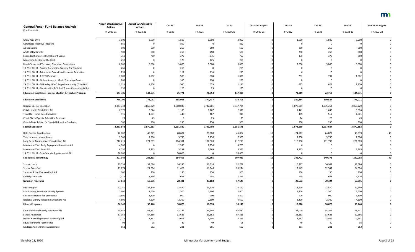| <b>General Fund - Fund Balance Analysis</b>                         | <b>August EOS/Executive</b><br><b>Actions</b> | <b>August EOS/Executive</b><br><b>Actions</b> | Oct SS    | Oct SS    | Oct SS     | <b>Oct SS vs August</b> | Oct SS    | Oct SS      | Oct SS     | <b>Oct SS vs August</b> |
|---------------------------------------------------------------------|-----------------------------------------------|-----------------------------------------------|-----------|-----------|------------|-------------------------|-----------|-------------|------------|-------------------------|
| (\$ in Thousands)                                                   | FY 2020-21                                    | FY 2022-23                                    | FY 2020   | FY 2021   | FY 2020-21 | FY 2020-21              | FY 2022   | FY 2023     | FY 2022-23 | FY 2022-23              |
| Grow Your Own                                                       | 3,000                                         | 3,000                                         | 1,500     | 1,500     | 3,000      |                         | 1,500     | 1,500       | 3,000      |                         |
| Certificate Incentive Program                                       | 860                                           |                                               | 860       | 0         | 860        |                         | O         |             |            |                         |
| Ag Educators                                                        | 500                                           | 500                                           | 250       | 250       | 500        |                         | 250       | 250         | 500        |                         |
| AP/IB STEM Grants                                                   | 500                                           | 500                                           | 250       | 250       | 500        |                         | 250       | 250         | 500        |                         |
| <b>Expanded Concurrent Enrollment Grants</b>                        | 750                                           | 750                                           | 375       | 375       | 750        |                         | 375       | 375         | 750        |                         |
| Minnesota Center for the Book                                       | 250                                           |                                               | 125       | 125       | 250        |                         | $\Omega$  | 0           |            |                         |
| Rural Career and Technical Education Consortium                     | 6,000                                         | 6,000                                         | 3,000     | 3,000     | 6,000      |                         | 3,000     | 3,000       | 6,000      |                         |
| 19, SS1, CH 11 - Suicide Prevention Training for Teachers           | 265                                           |                                               | 265       | 0         | 265        |                         | 0         |             |            |                         |
| 19, SS1, CH 11 - Minnesota Council on Economic Education            | 235                                           |                                               | 117       | 118       | 235        |                         |           |             |            |                         |
| 19, SS1, CH 11 - P-TECH Schools                                     | 1,000                                         | 1,582                                         | 500       | 500       | 1,000      |                         | 791       | 791         | 1,582      |                         |
| 19, SS1, CH 11 - Online Access to Music Education Grants            | 200                                           |                                               | 100       | 100       | 200        |                         | 0         | 0           |            |                         |
| 19, SS1, CH 11 - MN Indep Life College/Community (Tr to OHE)        | 1,125                                         | 1,250                                         | 500       | 625       | 1,125      |                         | 625       | 625         | 1,250      |                         |
| 19, SS1, CH 11 - Construction & Skilled Trades Counseling & Rpt     | 150                                           |                                               | 125       | 25        | 150        |                         | $\Omega$  | $\Omega$    |            |                         |
| <b>Education Excellence - Special Student &amp; Teacher Program</b> | 147,325                                       | 144,531                                       | 75,771    | 71,554    | 147,325    |                         | 71,819    | 72,712      | 144,531    |                         |
| <b>Education Excellence</b>                                         | 738,705                                       | 771,011                                       | 365,968   | 372,737   | 738,705    |                         | 380,484   | 390,527     | 771,011    |                         |
| <b>Regular Special Education</b>                                    | 3,347,734                                     | 3,866,229                                     | 1,600,033 | 1,747,701 | 3,347,734  |                         | 1,870,965 | 1,995,264   | 3,866,229  |                         |
| Children with Disabilities Aid                                      | 2,376                                         | 3,074                                         | 1,109     | 1,267     | 2,376      |                         | 1,441     | 1,633       | 3,074      |                         |
| Travel for Home Based Services                                      | 915                                           | 1,001                                         | 448       | 467       | 915        |                         | 489       | 512         | 1,001      |                         |
| Court Placed Special Education Revenue                              |                                               |                                               | 0         | 23        | 23         |                         | 24        | 25          |            |                         |
| Out-of-State Tuition for Special Education Students                 | 500                                           | 500                                           | 250       | 250       | 500        |                         | 250       | 250         | 500        |                         |
| <b>Special Education</b>                                            | 3,351,548                                     | 3,870,853                                     | 1,601,840 | 1,749,708 | 3,351,548  |                         | 1,873,169 | 1,997,684   | 3,870,853  |                         |
| Debt Service Equalization                                           | 46,082                                        | 49,379                                        | 20,684    | 25,380    | 46,064     |                         | 24,517    | 24,822      | 49,339     |                         |
| <b>Telecommunications Access</b>                                    | 7,500                                         | 7,500                                         | 3,750     | 3,750     | 7,500      |                         | 3,750     | 3,750       | 7,500      |                         |
| Long-Term Maintenance Equalization Aid                              | 212,211                                       | 221,989                                       | 104,391   | 107,820   | 212,211    |                         | 110,190   | 111,799     | 221,989    |                         |
| Maximum Effort Early Repayment Incentive Aid                        | 4,700                                         |                                               | 2,350     | 2,350     | 4,700      |                         | $\Omega$  | $\Omega$    |            |                         |
| Maximum Effort Loan Aid                                             | 6,556                                         | 3,265                                         | 3,291     | 3,265     | 6,556      |                         | 3,265     | $\mathbf 0$ | 3,265      |                         |
| 19, SS1, CH 11 - Safe Schools Supplemental Aid                      | 30,000                                        |                                               | 30,000    | 0         | 30,000     |                         | $\Omega$  | $\Omega$    |            |                         |
| <b>Facilities &amp; Technology</b>                                  | 307,049                                       | 282,133                                       | 164,466   | 142,565   | 307,031    | $-18$                   | 141,722   | 140,371     | 282,093    | $-40$                   |
| School Lunch                                                        | 32,759                                        | 33,686                                        | 16,245    | 16,514    | 32,759     |                         | 16,717    | 16,969      | 33,686     |                         |
| School Breakfast                                                    | 23,274                                        | 24,694                                        | 11,428    | 11,846    | 23,274     |                         | 12,147    | 12,547      | 24,694     |                         |
| Summer School Service Repl Aid                                      | 300                                           | 300                                           | 150       | 150       | 300        |                         | 150       | 150         | 300        |                         |
| Kindergarten Milk                                                   | 1,316                                         | 1,316                                         | 658       | 658       | 1,316      |                         | 658       | 658         | 1,316      |                         |
| <b>Nutrition Programs</b>                                           | 57,649                                        | 59,996                                        | 28,481    | 29,168    | 57,649     |                         | 29,672    | 30,324      | 59,996     | 0                       |
| <b>Basic Support</b>                                                | 27,140                                        | 27,140                                        | 13,570    | 13,570    | 27,140     |                         | 13,570    | 13,570      | 27,140     |                         |
| Multicounty, Multitype Library Systems                              | 2,600                                         | 2,600                                         | 1,300     | 1,300     | 2,600      |                         | 1,300     | 1,300       | 2,600      |                         |
| Electronic Library for Minnesota                                    | 1,800                                         | 1,800                                         | 900       | 900       | 1,800      |                         | 900       | 900         | 1,800      |                         |
| Regional Library Telecommunications Aid                             | 4,600                                         | 4,600                                         | 2,300     | 2,300     | 4,600      |                         | 2,300     | 2,300       | 4,600      |                         |
| <b>Library Programs</b>                                             | 36,140                                        | 36,140                                        | 18,070    | 18,070    | 36,140     |                         | 18,070    | 18,070      | 36,140     |                         |
| Early Childhood Family Education Aid                                | 65,687                                        | 68,331                                        | 32,147    | 33,540    | 65,687     |                         | 34,029    | 34,302      | 68,331     |                         |
| <b>School Readiness</b>                                             | 67,366                                        | 67,366                                        | 33,683    | 33,683    | 67,366     |                         | 33,683    | 33,683      | 67,366     |                         |
| Health & Developmental Screening Aid                                | 7,216                                         | 7,151                                         | 3,608     | 3,608     | 7,216      |                         | 3,582     | 3,569       | 7,151      |                         |
| <b>Educate Parents Partnership</b>                                  | 98                                            | 98                                            | 49        | 49        | 98         |                         | 49        | 49          | 98         |                         |
| Kindergarten Entrance Assessment                                    | 562                                           | 562                                           | 281       | 281       | 562        |                         | 281       | 281         | 562        |                         |

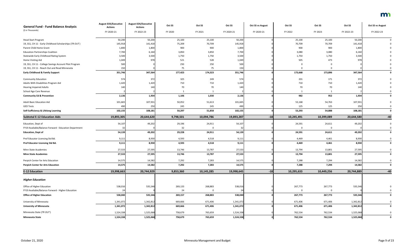| <b>General Fund - Fund Balance Analysis</b>            | <b>August EOS/Executive</b><br><b>Actions</b> | <b>August EOS/Executive</b><br><b>Actions</b> | Oct SS    | Oct SS     | Oct SS     | <b>Oct SS vs August</b> | Oct SS      | Oct SS      | Oct SS     | <b>Oct SS vs August</b> |
|--------------------------------------------------------|-----------------------------------------------|-----------------------------------------------|-----------|------------|------------|-------------------------|-------------|-------------|------------|-------------------------|
| (\$ in Thousands)                                      | FY 2020-21                                    | FY 2022-23                                    | FY 2020   | FY 2021    | FY 2020-21 | FY 2020-21              | FY 2022     | FY 2023     | FY 2022-23 | FY 2022-23              |
| <b>Head Start Program</b>                              | 50,200                                        | 50,200                                        | 25,100    | 25,100     | 50,200     |                         | 25,100      | 25,100      | 50,200     |                         |
| 19, SS1, CH 11 - Early Childhood Scholarships (TR OUT) | 145,918                                       | 141,418                                       | 75,209    | 70,709     | 145,918    |                         | 70,709      | 70,709      | 141,418    |                         |
| Parent Child Home Grant                                | 1,800                                         | 1,800                                         | 900       | 900        | 1,800      |                         | 900         | 900         | 1,800      |                         |
| <b>Education Partnerships Coalition</b>                | 7,700                                         | 6,160                                         | 3,850     | 3,850      | 7,700      |                         | 3,080       | 3,080       | 6,160      |                         |
| Statewide Early Childhood Rating System                | 3,500                                         | 3,500                                         | 1,750     | 1,750      | 3,500      |                         | 1,750       | 1,750       | 3,500      |                         |
| Home Visiting Aid                                      | 1,049                                         | 978                                           | 521       | 528        | 1,049      |                         | 505         | 473         | 978        |                         |
| 19, SS1, CH 11 - College Savings Account Pilot Program | 500                                           |                                               | 250       | 250        | 500        |                         | 0           |             |            |                         |
| 19, SS1, CH 11 - Reach Out and Read Minnesota          | 150                                           |                                               | 75        | 75         | 150        |                         | $\Omega$    |             |            |                         |
| <b>Early Childhood &amp; Family Support</b>            | 351,746                                       | 347,564                                       | 177,423   | 174,323    | 351,746    |                         | 173,668     | 173,896     | 347,564    |                         |
| <b>Community Education</b>                             | 574                                           | 372                                           | 325       | 249        | 574        |                         | 201         | 171         | 372        |                         |
| Adults With Disabilities Program Aid                   | 1,420                                         | 1,420                                         | 710       | 710        | 1,420      |                         | 710         | 710         | 1,420      |                         |
| <b>Hearing Impaired Adults</b>                         | 140                                           | 140                                           | 70        | 70         | 140        |                         | 70          | 70          | 140        |                         |
| School Age Care Revenue                                |                                               |                                               |           | - 1        |            |                         | -1          | 1           |            |                         |
| <b>Community Ed &amp; Prevention</b>                   | 2,136                                         | 1,934                                         | 1,106     | 1,030      | 2,136      |                         | 982         | 952         | 1,934      |                         |
| <b>Adult Basic Education Aid</b>                       | 101,665                                       | 107,931                                       | 50,052    | 51,613     | 101,665    |                         | 53,168      | 54,763      | 107,931    |                         |
| <b>GED Tests</b>                                       | 490                                           | 250                                           | 245       | 245        | 490        |                         | 125         | 125         | 250        |                         |
| Self-Sufficiency & Lifelong Learning                   | 102,155                                       | 108,181                                       | 50,297    | 51,858     | 102,155    |                         | 53,293      | 54,888      | 108,181    | $\mathbf{0}$            |
| <b>Subtotal E-12 Education Aids</b>                    | 19,893,305                                    | 20,644,620                                    | 9,798,501 | 10,094,786 | 19,893,287 | $-18$                   | 10,245,491  | 10,399,089  | 20,644,580 | $-40$                   |
| Education, Dept of                                     | 54,107                                        | 49,202                                        | 29,196    | 24,911     | 54,107     |                         | 24,591      | 24,611      | 49,202     |                         |
| FY19 Available/Balance Forward - Education Department  |                                               |                                               | 32        |            | -32        |                         | $\Omega$    |             |            |                         |
| <b>Education, Dept of</b>                              | 54,139                                        | 49,202                                        | 29,228    | 24,911     | 54,139     |                         | 24,591      | 24,611      | 49,202     | $\mathbf 0$             |
| Prof Educator Licensing Std Bd.                        | 9,111                                         | 8,930                                         | 4,593     | 4,518      | 9,111      |                         | 4,469       | 4,461       | 8,930      |                         |
| Prof Educator Licensing Std Bd.                        | 9,111                                         | 8,930                                         | 4,593     | 4,518      | 9,111      |                         | 4,469       | 4,461       | 8,930      | 0                       |
| Minn State Academies                                   | 27,533                                        | 27,595                                        | 13,746    | 13,787     | 27,533     |                         | 13,794      | 13,801      | 27,595     | $\mathbf 0$             |
| <b>Minn State Academies</b>                            | 27,533                                        | 27,595                                        | 13,746    | 13,787     | 27,533     |                         | 13,794      | 13,801      | 27,595     | 0                       |
| Perpich Center for Arts Education                      | 14,575                                        | 14,582                                        | 7,292     | 7,283      | 14,575     |                         | 7,288       | 7,294       | 14,582     | $\Omega$                |
| <b>Perpich Center for Arts Education</b>               | 14,575                                        | 14,582                                        | 7,292     | 7,283      | 14,575     |                         | 7,288       | 7,294       | 14,582     | $\mathbf 0$             |
| <b>E-12 Education</b>                                  | 19,998,663                                    | 20,744,929                                    | 9,853,360 | 10,145,285 | 19,998,645 | $-18$                   | 10,295,633  | 10,449,256  | 20,744,889 | $-40$                   |
| <b>Higher Education</b>                                |                                               |                                               |           |            |            |                         |             |             |            |                         |
| Office of Higher Education                             | 538,016                                       | 535,546                                       | 269,133   | 268,883    | 538,016    |                         | 267,773     | 267,773     | 535,546    |                         |
| FY19 Available/Balance Forward - Higher Education      |                                               |                                               | 24        | 0          | 24         |                         | $\mathbf 0$ | $\mathbf 0$ |            | $\mathbf 0$             |
| <b>Office of Higher Education</b>                      | 538,040                                       | 535,546                                       | 269,157   | 268,883    | 538,040    |                         | 267,773     | 267,773     | 535,546    | 0                       |
| University of Minnesota                                | 1,341,072                                     | 1,342,812                                     | 669,666   | 671,406    | 1,341,072  |                         | 671,406     | 671,406     | 1,342,812  | $\mathbf 0$             |
| <b>University of Minnesota</b>                         | 1,341,072                                     | 1,342,812                                     | 669,666   | 671,406    | 1,341,072  |                         | 671,406     | 671,406     | 1,342,812  | 0                       |
| Minnesota State (TR OUT)                               | 1,524,338                                     | 1,525,068                                     | 758,679   | 765,659    | 1,524,338  |                         | 762,534     | 762,534     | 1,525,068  | 0                       |
| <b>Minnesota State</b>                                 | 1,524,338                                     | 1,525,068                                     | 758,679   | 765,659    | 1,524,338  |                         | 762,534     | 762,534     | 1,525,068  | $\mathbf 0$             |

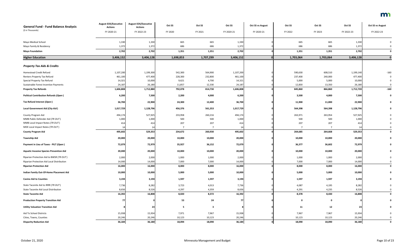| <b>General Fund - Fund Balance Analysis</b>    | <b>August EOS/Executive</b><br><b>Actions</b> | <b>August EOS/Executive</b><br><b>Actions</b> | Oct SS         | Oct SS         | Oct SS     | <b>Oct SS vs August</b> | Oct SS         | Oct SS         | Oct SS     | Oct SS vs August |
|------------------------------------------------|-----------------------------------------------|-----------------------------------------------|----------------|----------------|------------|-------------------------|----------------|----------------|------------|------------------|
| (\$ in Thousands)                              | FY 2020-21                                    | FY 2022-23                                    | FY 2020        | FY 2021        | FY 2020-21 | FY 2020-21              | FY 2022        | FY 2023        | FY 2022-23 | FY 2022-23       |
| Mayo Medical School                            | 1,330                                         | 1,330                                         | 665            | 665            | 1,330      |                         | 665            | 665            | 1,330      |                  |
| Mayo Family & Residency                        | 1,372                                         | 1,372                                         | 686            | 686            | 1,372      |                         | 686            | 686            | 1,372      |                  |
| <b>Mayo Foundation</b>                         | 2,702                                         | 2,702                                         | 1,351          | 1,351          | 2,702      |                         | 1,351          | 1,351          | 2,702      | $\Omega$         |
| <b>Higher Education</b>                        | 3,406,152                                     | 3,406,128                                     | 1,698,853      | 1,707,299      | 3,406,152  |                         | 1,703,064      | 1,703,064      | 3,406,128  |                  |
| <b>Property Tax Aids &amp; Credits</b>         |                                               |                                               |                |                |            |                         |                |                |            |                  |
| Homestead Credit Refund                        | 1,107,200                                     | 1,199,300                                     | 542,300        | 564,900        | 1,107,200  |                         | 590,630        | 608,510        | 1,199,140  | $-160$           |
| Renters Property Tax Refund                    | 461,100                                       | 477,400                                       | 228,300        | 232,800        | 461,100    |                         | 237,400        | 240,000        | 477,400    | $\Omega$         |
| Special Property Tax Refund                    | 14,321                                        | 10,000                                        | 9,621          | 4,700          | 14,321     |                         | 5,000          | 5,000          | 10,000     | $\Omega$         |
| Sustainable Forest Incentive Payments          | 24,187                                        | 26,180                                        | 11,857         | 12,330         | 24,187     |                         | 12,830         | 13,350         | 26,180     | $\Omega$         |
| <b>Property Tax Refunds</b>                    | 1,606,808                                     | 1,712,880                                     | 792,078        | 814,730        | 1,606,808  |                         | 845,860        | 866,860        | 1,712,720  | $-160$           |
| <b>Political Contribution Refunds (Open)</b>   | 6,200                                         | 7,500                                         | 2,200          | 4,000          | 6,200      |                         | 3,500          | 4,000          | 7,500      | $\mathbf{0}$     |
| Tax Refund Interest (Open)                     | 36,700                                        | 22,900                                        | 24,300         | 12,400         | 36,700     |                         | 11,900         | 11,000         | 22,900     | $\mathbf 0$      |
| Local Government Aid (City Aid)                | 1,017,729                                     | 1,128,796                                     | 456,376        | 561,353        | 1,017,729  |                         | 564,398        | 564,398        | 1,128,796  | $\mathbf{0}$     |
| County Program Aid                             | 494,174                                       | 527,925                                       | 233,958        | 260,216        | 494,174    |                         | 263,971        | 263,954        | 527,925    |                  |
| MMB Public Defender Aid (TR OUT)               | 1,000                                         | 1,000                                         | 500            | 500            | 1,000      |                         | 500            | 500            | 1,000      |                  |
| MMB Local Impact Notes (TR OUT)                | 414                                           | 414                                           | 207            | 207            | 414        |                         | 207            | 207            | 414        |                  |
| MDE Local Impact Notes (TR OUT)                |                                               | 14                                            | $\overline{7}$ | $\overline{7}$ | 14         |                         | $\overline{7}$ | $\overline{7}$ | 14         | $\Omega$         |
| <b>County Program Aid</b>                      | 495,602                                       | 529,353                                       | 234,672        | 260,930        | 495,602    |                         | 264,685        | 264,668        | 529,353    | $\mathbf 0$      |
| <b>Township Aid</b>                            | 20,000                                        | 20,000                                        | 10,000         | 10,000         | 20,000     |                         | 10,000         | 10,000         | 20,000     | 0                |
| Payment in Lieu of Taxes - PILT (Open)         | 72,079                                        | 72,979                                        | 35,927         | 36,152         | 72,079     |                         | 36,377         | 36,602         | 72,979     | 0                |
| <b>Aquatic Invasive Species Prevention Aid</b> | 20,000                                        | 20,000                                        | 10,000         | 10,000         | 20,000     |                         | 10,000         | 10,000         | 20,000     |                  |
| Riparian Protection Aid to BWSR (TR OUT)       | 2,000                                         | 2,000                                         | 1,000          | 1,000          | 2,000      |                         | 1,000          | 1,000          | 2,000      | 0                |
| Riparian Protection Aid Local Distribution     | 14,000                                        | 14,000                                        | 7,000          | 7,000          | 14,000     |                         | 7,000          | 7,000          | 14,000     | $\Omega$         |
| <b>Riparian Protection Aid</b>                 | 16,000                                        | 16,000                                        | 8,000          | 8,000          | 16,000     |                         | 8,000          | 8,000          | 16,000     | $\mathbf{0}$     |
| Indian Family Out-Of-Home Placement Aid        | 10,000                                        | 10,000                                        | 5,000          | 5,000          | 10,000     |                         | 5,000          | 5,000          | 10,000     | $\mathbf 0$      |
| <b>Casino Aid to Counties</b>                  | 3,194                                         | 3,194                                         | 1,597          | 1,597          | 3,194      |                         | 1,597          | 1,597          | 3,194      | 0                |
| State Taconite Aid to IRRR (TR OUT)            | 7,736                                         | 8,282                                         | 3,723          | 4,013          | 7,736      |                         | 4,087          | 4,195          | 8,282      |                  |
| State Taconite Aid Local Distribution          | 8,656                                         | 8,526                                         | 4,297          | 4,359          | 8,656      |                         | 4,291          | 4,235          | 8,526      |                  |
| <b>State Taconite Aid</b>                      | 16,392                                        | 16,808                                        | 8,020          | 8,372          | 16,392     |                         | 8,378          | 8,430          | 16,808     | $\mathbf 0$      |
| <b>Production Property Transition Aid</b>      | 77                                            |                                               | 53             | 24             | 77         |                         | $\mathbf 0$    | $\mathbf 0$    |            | $\mathbf 0$      |
| <b>Utility Valuation Transition Aid</b>        |                                               | 23                                            | 5 <sub>1</sub> | 3              |            |                         | 11             | 12             | 23         | $\mathbf 0$      |
| Aid To School Districts                        | 15,938                                        | 15,934                                        | 7,971          | 7,967          | 15,938     |                         | 7,967          | 7,967          | 15,934     |                  |
| Cities, Towns, Counties                        | 20,246                                        | 20,246                                        | 10,123         | 10,123         | 20,246     |                         | 10,123         | 10,123         | 20,246     |                  |
| <b>Disparity Reduction Aid</b>                 | 36,184                                        | 36,180                                        | 18,094         | 18,090         | 36,184     |                         | 18,090         | 18,090         | 36,180     | $\mathbf{0}$     |

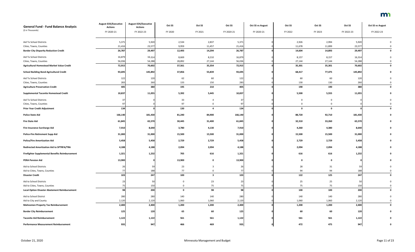| <b>General Fund - Fund Balance Analysis</b>          | <b>August EOS/Executive</b><br><b>Actions</b> | <b>August EOS/Executive</b><br><b>Actions</b> | Oct SS      | Oct SS                  | Oct SS      | Oct SS vs August | Oct SS       | Oct SS      | Oct SS     | <b>Oct SS vs August</b> |
|------------------------------------------------------|-----------------------------------------------|-----------------------------------------------|-------------|-------------------------|-------------|------------------|--------------|-------------|------------|-------------------------|
| (\$ in Thousands)                                    | FY 2020-21                                    | FY 2022-23                                    | FY 2020     | FY 2021                 | FY 2020-21  | FY 2020-21       | FY 2022      | FY 2023     | FY 2022-23 | FY 2022-23              |
| Aid To School Districts                              | 5,371                                         | 5,920                                         | 2,534       | 2,837                   | 5,371       |                  | 2,926        | 2,994       | 5,920      |                         |
| Cities, Towns, Counties                              | 21,416                                        | 23,577                                        | 9,959       | 11,457                  | 21,416      |                  | 11,678       | 11,899      | 23,577     |                         |
| <b>Border City Disparity Reduction Credit</b>        | 26,787                                        | 29,497                                        | 12,493      | 14,294                  | 26,787      |                  | 14,604       | 14,893      | 29,497     |                         |
| Aid To School Districts                              | 16,879                                        | 16,314                                        | 8,669       | 8,210                   | 16,879      |                  | 8,157        | 8,157       | 16,314     |                         |
| Cities, Towns, Counties                              | 56,036                                        | 54,288                                        | 28,892      | 27,144                  | 56,036      |                  | 27,144       | 27,144      | 54,288     |                         |
| <b>Agricultural Homestead Market Value Credit</b>    | 72,915                                        | 70,602                                        | 37,561      | 35,354                  | 72,915      |                  | 35,301       | 35,301      | 70,602     |                         |
| <b>School Building Bond Agricultural Credit</b>      | 93,695                                        | 145,892                                       | 37,856      | 55,839                  | 93,695      |                  | 68,417       | 77,475      | 145,892    |                         |
| Aid To School Districts                              | 122                                           | 120                                           | 62          | 60                      | 122         |                  | 60           | 60          | 120        |                         |
| Cities, Towns, Counties                              | 283                                           | 260                                           | 133         | 150                     | 283         |                  | 130          | 130         | 260        |                         |
| <b>Agriculture Preservation Credit</b>               | 405                                           | 380                                           | 195         | 210                     | 405         |                  | 190          | 190         | 380        |                         |
| <b>Supplemental Taconite Homestead Credit</b>        | 10,837                                        | 11,055                                        | 5,392       | 5,445                   | 10,837      |                  | 5,500        | 5,555       | 11,055     |                         |
| Aid To School Districts                              | 37                                            |                                               | 33          | $\overline{4}$          | $3^{\circ}$ |                  | 0            | $\Omega$    |            |                         |
| Cities, Towns, Counties                              | 97                                            |                                               | 97          | 0                       | 97          |                  |              |             |            |                         |
| <b>Prior Year Credit Adjustment</b>                  | 134                                           |                                               | 130         | $\overline{a}$          | 134         |                  | $\mathbf{0}$ | $\mathbf 0$ |            |                         |
| <b>Police State Aid</b>                              | 166,140                                       | 181,430                                       | 81,240      | 84,900                  | 166,140     |                  | 88,720       | 92,710      | 181,430    |                         |
| <b>Fire State Aid</b>                                | 61,845                                        | 65,570                                        | 30,445      | 31,400                  | 61,845      |                  | 32,310       | 33,260      | 65,570     |                         |
| Fire Insurance Surcharge Aid                         | 7,910                                         | 8,640                                         | 3,780       | 4,130                   | 7,910       |                  | 4,260        | 4,380       | 8,640      |                         |
| <b>Police-Fire Retirement Supp Aid</b>               | 31,000                                        | 31,000                                        | 15,500      | 15,500                  | 31,000      |                  | 15,500       | 15,500      | 31,000     |                         |
| <b>Police/Fire Amortization Aid</b>                  | 5,458                                         | 5,458                                         | 2,729       | 2,729                   | 5,458       |                  | 2,729        | 2,729       | 5,458      |                         |
| Redirected Amortization Aid to SPTRFA/TRA            | 4,188                                         | 4,188                                         | 2,094       | 2,094                   | 4,188       |                  | 2,094        | 2,094       | 4,188      |                         |
| Firefighter Supplemental Benefits Reimbursement      | 1,321                                         | 1,232                                         | 705         | 616                     | 1,321       |                  | 616          | 616         | 1,232      |                         |
| <b>PERA Pension Aid</b>                              | 13,900                                        |                                               | 13,900      | $\mathbf 0$             | 13,900      |                  | 0            | $\mathbf 0$ |            |                         |
| Aid to School Districts                              | 26                                            | 59                                            | 23          | 3                       |             |                  | 28           | 31          | 59         |                         |
| Aid to Cities, Towns, Counties                       | 77                                            | 188                                           | 77          | 0                       | 77          |                  | 94           | 94          | 188        |                         |
| <b>Disaster Credit</b>                               | 103                                           | 247                                           | 100         | $\overline{\mathbf{3}}$ | 103         |                  | 122          | 125         | 247        |                         |
| Aid to School Districts                              | 23                                            | 50                                            | $\mathbf 0$ | 23                      | 23          |                  | 25           | 25          | 50         |                         |
| Aid to Cities, Towns, Counties                       | 75                                            | 150                                           | 0           | 75                      | 75          |                  | 75           | 75          | 150        |                         |
| <b>Local Option Disaster Abatement Reimbursement</b> | <b>98</b>                                     | 200                                           | $\mathbf 0$ | 98                      | 98          |                  | 100          | 100         | 200        |                         |
| Aid to School District                               | 280                                           | 280                                           | 140         | 140                     | 280         |                  | 140          | 140         | 280        |                         |
| Aid to City and County                               | 2,120                                         | 2,120                                         | 1,060       | 1,060                   | 2,120       |                  | 1,060        | 1,060       | 2,120      |                         |
| <b>Mahnomen Property Tax Reimbursement</b>           | 2,400                                         | 2,400                                         | 1,200       | 1,200                   | 2,400       |                  | 1,200        | 1,200       | 2,400      |                         |
| <b>Border City Reimbursement</b>                     | 125                                           | 120                                           | 65          | 60                      | 125         |                  | 60           | 60          | 120        |                         |
| <b>Taconite Aid Reimbursement</b>                    | 1,122                                         | 1,122                                         | 561         | 561                     | 1,122       |                  | 561          | 561         | 1,122      |                         |
| <b>Performance Measurement Reimbursement</b>         | 935                                           | 947                                           | 466         | 469                     | 935         |                  | 472          | 475         | 947        |                         |

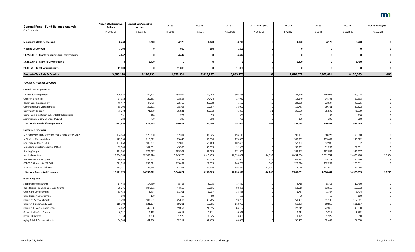| (\$ in Thousands)<br>FY 2020-21<br>FY 2020<br>FY 2021<br>FY 2022<br>FY 2023<br>FY 2022-23<br>FY 2020-21<br>FY 2020-21<br>FY 2022-23<br>8,240<br>8,240<br>4,120<br>4,120<br>4,120<br>4,120<br><b>Minneapolis Debt Service Aid</b><br>8,240 |                      |
|-------------------------------------------------------------------------------------------------------------------------------------------------------------------------------------------------------------------------------------------|----------------------|
|                                                                                                                                                                                                                                           | FY 2022-23           |
|                                                                                                                                                                                                                                           | 8,240<br>0           |
| 600<br>600<br>1,200<br>1,200<br>$\mathbf 0$<br><b>Wadena County Aid</b><br>- 0                                                                                                                                                            | $\Omega$             |
| 4,447<br>4,447<br>4,447<br>19, SS1, CH 6 - Grants to various local governments<br>0<br>$\mathbf 0$<br>- 0                                                                                                                                 | $\mathbf{0}$         |
| 5,400<br>5,400<br>19, SS1, CH 6 - Grant to City of Virginia<br>$\mathbf 0$<br>0<br>0                                                                                                                                                      | 5,400<br>0           |
| 11,000<br>20, CH 71 - Tribal Nations Grants<br>11,000<br>11,000<br>$\mathbf 0$<br>0<br>0                                                                                                                                                  | 0                    |
| 4,170,233<br>1,872,901<br>2,010,277<br>2,070,072<br><b>Property Tax Aids &amp; Credits</b><br>3,883,178<br>3,883,178<br>2,100,001                                                                                                         | $-160$<br>4,170,073  |
|                                                                                                                                                                                                                                           |                      |
| <b>Health &amp; Human Services</b>                                                                                                                                                                                                        |                      |
| <b>Central Office Operations</b>                                                                                                                                                                                                          |                      |
| 289,728<br>306,646<br>154,894<br>151,764<br>306,658<br>143,640<br>146,088<br>Finance & Management                                                                                                                                         | 289,728              |
| 27,982<br>29,333<br>13,558<br>14,793<br>14,424<br>27,982<br>14,540<br>Children & Families                                                                                                                                                 | 29,333               |
| 47,725<br>22,769<br>23,738<br>46,507<br>46,447<br>24,028<br>23,697<br><b>Health Care Management</b>                                                                                                                                       | 47,725               |
| 39,522<br>18,703<br>19,761<br>19,761<br>38,000<br>19,297<br>38,000<br><b>Continuing Care Management</b>                                                                                                                                   | 39,522               |
| 35,680<br>71,772<br>71,279<br>36,031<br>35,772<br>71,803<br>35,599<br><b>Community Support</b>                                                                                                                                            | 71,279               |
| Comp. Gambling Chem & Mental Hlth (Standing)<br>272<br>59<br>59<br>331<br>59<br>331<br>118                                                                                                                                                | 118                  |
| Administration, Law Changes (ICWA)<br>780<br>780<br>390<br>390<br>780<br>390<br>390                                                                                                                                                       | 780                  |
| 491,958<br>492,061<br>103<br>238,098<br><b>Subtotal Central Office Operations</b><br>478,485<br>246,617<br>245,444<br>240,387                                                                                                             | 478,485<br>0         |
| <b>Forecasted Programs</b>                                                                                                                                                                                                                |                      |
| MN Family Inv Plan/Div Work Prog Grants (MFIP/DWP)<br>88,223<br>178,380<br>97,204<br>96,945<br>194,149<br>90,157<br>194,149                                                                                                               | 178,380              |
| 173,835<br>216,822<br>73,445<br>100,390<br>173,835<br>107,335<br>109,487<br>MFIP Child Care Asst Grants                                                                                                                                   | 216,822              |
| General Assistance (GA)<br>107,468<br>105,332<br>52,005<br>107,468<br>52,352<br>52,980<br>55,463                                                                                                                                          | 105,332              |
| Minnesota Supplemental Aid (MSA)<br>92,300<br>101,631<br>48,595<br>92,300<br>50,369<br>43,705<br>51,262                                                                                                                                   | 101,631              |
| 182,743<br>192,884<br>371,602<br>375,627<br>183,507<br>188,095<br>371,602<br><b>Housing Support</b>                                                                                                                                       | 375,627<br>$\Omega$  |
| 10,704,364<br>12,989,774<br>5,143,979<br>5,515,453<br>10,659,432<br>$-44,932$<br>6,434,664<br>6,591,744<br><b>Medical Assistance</b>                                                                                                      | 13,026,408<br>36,634 |
| 90,551<br>45,352<br>45,655<br>91,007<br>45,483<br>45,177<br>Alternative Care Program<br>90,893<br>114                                                                                                                                     | 109<br>90,660        |
| <b>CCDTF Entitlements (TR OUT)</b><br>241,096<br>259,311<br>113,457<br>127,339<br>240,796<br>$-300$<br>127,024<br>132,287                                                                                                                 | 259,311              |
|                                                                                                                                                                                                                                           | 235,484              |
| 235,484<br>92,167<br>113,074<br>122,410<br>Northstar Care for Children<br>195,471<br>102,154<br>194,321<br>$-1,150$                                                                                                                       |                      |
| $-46,268$<br>12,171,178<br>14,552,912<br>7,386,454<br><b>Subtotal Forecasted Programs</b><br>5,844,821<br>6,280,089<br>12,124,910<br>7,203,201                                                                                            | 14,589,655<br>36,743 |
| <b>Grant Programs</b>                                                                                                                                                                                                                     |                      |
| 17,430<br>8,715<br>8,715<br>17,430<br>17,430<br><b>Support Services Grants</b>                                                                                                                                                            | 17,430               |
| 8,715<br>8,715<br>98,271<br>Basic Sliding Fee Child Care Asst Grants                                                                                                                                                                      |                      |
| 107,232<br>44,655<br>53,616<br>98,271<br>53,616<br>53,616                                                                                                                                                                                 | 107,232              |
| 33,438<br>3,474<br>31,701<br>1,737<br>33,438<br>1,737<br>1,737<br>Child Care Development<br>100<br>50<br>50<br>50<br><b>Child Support Enforcement</b><br>100<br>50<br>100                                                                 | 3,474<br>100         |
| <b>Children's Services Grants</b>                                                                                                                                                                                                         |                      |
| 93,798<br>102,681<br>45,013<br>48,785<br>93,798<br>51,483<br>51,198<br>Children & Community Svcs                                                                                                                                          | 102,681              |
| 118,902<br>121,107<br>59,201<br>59,701<br>60,251<br>60,856<br>118,902                                                                                                                                                                     | 121,107              |
| 84,167<br>45,630<br>59,852<br>24,315<br>84,167<br>22,815<br>22,815<br>Children & Econ Support Grants<br>Other Health Care Grants                                                                                                          | 45,630               |
| 8,322<br>7,422<br>4,611<br>3,711<br>8,322<br>3,711<br>3,711<br>1,925<br>Other LTC Grants<br>3,850<br>3,850<br>1,925<br>1,925<br>3,850<br>1,925                                                                                            | 7,422<br>3,850       |

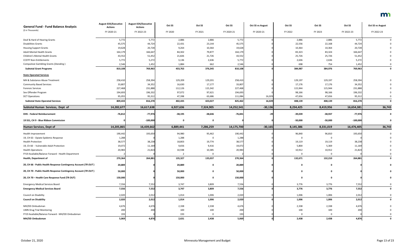| <b>General Fund - Fund Balance Analysis</b>                     | <b>August EOS/Executive</b><br><b>Actions</b> | <b>August EOS/Executive</b><br><b>Actions</b> | Oct SS         | Oct SS      | Oct SS     | <b>Oct SS vs August</b> | Oct SS    | Oct SS       | Oct SS     | <b>Oct SS vs August</b> |
|-----------------------------------------------------------------|-----------------------------------------------|-----------------------------------------------|----------------|-------------|------------|-------------------------|-----------|--------------|------------|-------------------------|
| (\$ in Thousands)                                               | FY 2020-21                                    | FY 2022-23                                    | FY 2020        | FY 2021     | FY 2020-21 | FY 2020-21              | FY 2022   | FY 2023      | FY 2022-23 | FY 2022-23              |
| Deaf & Hard of Hearing Grants                                   | 5,772                                         | 5,772                                         | 2,886          | 2,886       | 5,772      |                         | 2,886     | 2,886        | 5,772      |                         |
| <b>Disabilities Grants</b>                                      | 45,575                                        | 44,724                                        | 22,431         | 23,144      | 45,575     |                         | 22,556    | 22,168       | 44,724     |                         |
| <b>Housing Support Grants</b>                                   | 19,628                                        | 20,728                                        | 9,264          | 10,364      | 19,628     |                         | 10,364    | 10,364       | 20,728     |                         |
| <b>Adult Mental Health Grants</b>                               | 164,179                                       | 166,647                                       | 84,302         | 79,877      | 164,179    |                         | 83,323    | 83,324       | 166,647    |                         |
| Children's Mental Health Grants                                 | 43,552                                        | 51,452                                        | 21,826         | 21,726      | 43,552     |                         | 25,726    | 25,726       | 51,452     |                         |
| <b>CCDTF Non-Entitlements</b>                                   | 5,772                                         | 5,272                                         | 3,136          | 2,636       | 5,772      |                         | 2,636     | 2,636        | 5,272      |                         |
| <b>Compulsive Gambling Grants (Standing)</b>                    | 2,546                                         | 1,452                                         | 1,884          | 662         | 2,546      |                         | 698       | 754          | 1,452      |                         |
| <b>Subtotal Grant Programs</b>                                  | 810,108                                       | 769,963                                       | 433,763        | 376,345     | 810,108    |                         | 384,987   | 384,976      | 769,963    |                         |
| <b>State Operated Services</b>                                  |                                               |                                               |                |             |            |                         |           |              |            |                         |
| MH & Substance Abuse Treatment                                  | 258,410                                       | 258,394                                       | 129,209        | 129,201     | 258,410    |                         | 129,197   | 129,197      | 258,394    |                         |
| <b>Community Based Services</b>                                 | 33,807                                        | 34,352                                        | 16,630         | 17,177      | 33,807     |                         | 17,176    | 17,176       | 34,352     |                         |
| <b>Forensic Services</b>                                        | 227,468                                       | 231,888                                       | 112,126        | 115,342     | 227,468    |                         | 115,944   | 115,944      | 231,888    |                         |
| Sex Offender Program                                            | 194,693                                       | 196,332                                       | 97,072         | 97,621      | 194,693    |                         | 98,166    | 98,166       | 196,332    |                         |
| <b>DCT Operations</b>                                           | 95,055                                        | 95,312                                        | 47,398         | 63,686      | 111,084    | 16,029                  | 47,656    | 47,656       | 95,312     |                         |
| <b>Subtotal State Operated Services</b>                         | 809,433                                       | 816,278                                       | 402,435        | 423,027     | 825,462    | 16,029                  | 408,139   | 408,139      | 816,278    |                         |
| Subtotal Human Services, Dept of                                | 14,282,677                                    | 16,617,638                                    | 6,927,636      | 7,324,905   | 14,252,541 | $-30,136$               | 8,234,425 | 8,419,956    | 16,654,381 | 36,743                  |
| <b>DHS - Federal Reimbursement</b>                              | $-76,812$                                     | $-77,976$                                     | $-38,195$      | $-38,646$   | $-76,841$  | $-29$                   | $-39,039$ | $-38,937$    | $-77,976$  |                         |
| 19 SS1, CH 9 - Blue Ribbon Commission                           |                                               | $-100,000$                                    | $\mathbf 0$    | $\mathbf 0$ |            |                         | $-50,000$ | $-50,000$    | $-100,000$ |                         |
| <b>Human Services, Dept of</b>                                  | 14,205,865                                    | 16,439,662                                    | 6,889,441      | 7,286,259   | 14,175,700 | $-30,165$               | 8,145,386 | 8,331,019    | 16,476,405 | 36,743                  |
| Health Improvement                                              | 190,442                                       | 193,650                                       | 94,980         | 95,462      | 190,442    |                         | 96,840    | 96,810       | 193,650    |                         |
| 19, CH 63 - Opiate Epidemic Response                            | 1,288                                         |                                               | 1,288          | 0           | 1,288      |                         |           |              |            |                         |
| <b>Health Protection</b>                                        | 38,577                                        | 38,238                                        | 18,803         | 19,774      | 38,577     |                         | 19,119    | 19,119       | 38,238     |                         |
| 19, Ch 60 - Vulnerable Adult Protection                         | 19,072                                        | 11,169                                        | 9,656          | 9,416       | 19,072     |                         | 5,800     | 5,369        | 11,169     |                         |
| <b>Health Operations</b>                                        | 20,983                                        | 21,824                                        | 10,598         | 10,385      | 20,983     |                         | 10,912    | 10,912       | 21,824     |                         |
| FY19 Available/Balance Forward - Health Department              |                                               |                                               | $\overline{2}$ | $\Omega$    |            |                         |           |              |            |                         |
| <b>Health, Department of</b>                                    | 270,364                                       | 264,881                                       | 135,327        | 135,037     | 270,364    |                         | 132,671   | 132,210      | 264,881    |                         |
| 20, CH 66 - Public Health Response Contingency Account (TR OUT) | 20,889                                        |                                               | 20,889         | $\mathbf 0$ | 20,889     |                         | $\Omega$  | $\Omega$     |            |                         |
| 20, CH 70 - Public Health Response Contingency Account (TR OUT) | 50,000                                        |                                               | 50,000         | $\mathbf 0$ | 50,000     |                         |           |              |            |                         |
| 20, CH 70 - Health Care Response Fund (TR OUT)                  | 150,000                                       |                                               | 150,000        | $\mathbf 0$ | 150,000    |                         | $\Omega$  | $\mathbf{0}$ |            |                         |
| <b>Emergency Medical Services Board</b>                         | 7,556                                         | 7,552                                         | 3,747          | 3,809       | 7,556      |                         | 3,776     | 3,776        | 7,552      |                         |
| <b>Emergency Medical Services Board</b>                         | 7,556                                         | 7,552                                         | 3,747          | 3,809       | 7,556      |                         | 3,776     | 3,776        | 7,552      |                         |
| Council on Disability                                           | 2,020                                         | 2,012                                         | 1,014          | 1,006       | 2,020      |                         | 1,006     | 1,006        | 2,012      |                         |
| <b>Council on Disability</b>                                    | 2,020                                         | 2,012                                         | 1,014          | 1,006       | 2,020      |                         | 1,006     | 1,006        | 2,012      | 0                       |
| MH/DD Ombudsman                                                 | 4,676                                         | 4,676                                         | 2,338          | 2,338       | 4,676      |                         | 2,338     | 2,338        | 4,676      |                         |
| <b>UMN Drug Trial Monitoring</b>                                | 200                                           | 200                                           | 100            | 100         | 200        |                         | 100       | 100          | 200        |                         |
| FY19 Available/Balance Forward - MH/DD Ombudsman                | 193                                           |                                               | 193            | $\Omega$    | 193        |                         |           |              |            |                         |
| MH/DD Ombudsman                                                 | 5,069                                         | 4,876                                         | 2,631          | 2,438       | 5,069      |                         | 2,438     | 2,438        | 4,876      |                         |

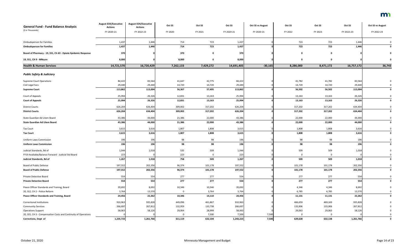| <b>General Fund - Fund Balance Analysis</b>                     | <b>August EOS/Executive</b><br><b>Actions</b> | <b>August EOS/Executive</b><br><b>Actions</b> | Oct SS             | Oct SS             | Oct SS             | <b>Oct SS vs August</b> | Oct SS             | Oct SS             | Oct SS             | <b>Oct SS vs August</b> |
|-----------------------------------------------------------------|-----------------------------------------------|-----------------------------------------------|--------------------|--------------------|--------------------|-------------------------|--------------------|--------------------|--------------------|-------------------------|
| (\$ in Thousands)                                               | FY 2020-21                                    | FY 2022-23                                    | FY 2020            | FY 2021            | FY 2020-21         | FY 2020-21              | FY 2022            | FY 2023            | FY 2022-23         | FY 2022-23              |
| <b>Ombudsperson for Families</b>                                | 1,437                                         | 1,446                                         | 714                | 723                | 1,437              |                         | 723                | 723                | 1,446              |                         |
| <b>Ombudsperson for Families</b>                                | 1,437                                         | 1,446                                         | 714                | 723                | 1,437              |                         | 723                | 723                | 1,446              |                         |
| Board of Pharmacy - 19, SS1, Ch 63 - Opiate Epidemic Response   | 370                                           |                                               | 370                | $\mathbf 0$        | 370                |                         | $\mathbf 0$        | $\mathbf 0$        |                    |                         |
| 19, SS1, CH 9 - MNsure                                          | 8,000                                         |                                               | 8,000              | $\mathbf 0$        | 8,000              |                         | $\mathbf 0$        | $\mathbf 0$        |                    |                         |
| <b>Health &amp; Human Services</b>                              | 14,721,570                                    | 16,720,429                                    | 7,262,133          | 7,429,272          | 14,691,405         | $-30,165$               | 8,286,000          | 8,471,172          | 16,757,172         | 36,743                  |
| <b>Public Safety &amp; Judiciary</b>                            |                                               |                                               |                    |                    |                    |                         |                    |                    |                    |                         |
| <b>Supreme Court Operations</b>                                 | 84,422                                        | 83,564                                        | 41,647             | 42,775             | 84,422             |                         | 41,782             | 41,782             | 83,564             |                         |
| Civil Legal Svcs                                                | 29,440                                        | 29,440                                        | 14,720             | 14,720             | 29,440             |                         | 14,720             | 14,720             | 29,440             |                         |
| <b>Supreme Court</b>                                            | 113,862                                       | 113,004                                       | 56,367             | 57,495             | 113,862            |                         | 56,502             | 56,502             | 113,004            |                         |
| Court of Appeals                                                | 25,994                                        | 26,326                                        | 12,831             | 13,163             | 25,994             |                         | 13,163             | 13,163             | 26,326             | $\Omega$                |
| <b>Court of Appeals</b>                                         | 25,994                                        | 26,326                                        | 12,831             | 13,163             | 25,994             |                         | 13,163             | 13,163             | 26,326             | 0                       |
| <b>District Courts</b>                                          | 626,204                                       | 634,404                                       | 309,002            | 317,202            | 626,204            |                         | 317,202            | 317,202            | 634,404            |                         |
| <b>District Courts</b>                                          | 626,204                                       | 634,404                                       | 309,002            | 317,202            | 626,204            |                         | 317,202            | 317,202            | 634,404            | 0                       |
|                                                                 |                                               |                                               |                    |                    |                    |                         |                    |                    |                    |                         |
| State Guardian Ad Litem Board                                   | 43,386<br>43,386                              | 44,000<br>44,000                              | 21,386             | 22,000             | 43,386<br>43,386   |                         | 22,000             | 22,000             | 44,000             |                         |
| <b>State Guardian Ad Litem Board</b>                            |                                               |                                               | 21,386             | 22,000             |                    |                         | 22,000             | 22,000             | 44,000             |                         |
| <b>Tax Court</b>                                                | 3,615                                         | 3,616                                         | 1,807              | 1,808              | 3,615              |                         | 1,808              | 1,808              | 3,616              |                         |
| <b>Tax Court</b>                                                | 3,615                                         | 3,616                                         | 1,807              | 1,808              | 3,615              |                         | 1,808              | 1,808              | 3,616              |                         |
| Uniform Laws Commission                                         | 196                                           | 196                                           | 98                 | 98                 | 196                |                         | 98                 | 98                 | 196                |                         |
| <b>Uniform Laws Commission</b>                                  | 196                                           | 196                                           | 98                 | 98                 | 196                |                         | 98                 | 98                 | 196                |                         |
| Judicial Standards, Bd of                                       | 1,044                                         | 1,018                                         | 535                | 509                | 1,044              |                         | 509                | 509                | 1,018              |                         |
| FY19 Available/Balance Forward - Judicial Std Board             | 223                                           |                                               | 223                | $\mathbf 0$        | 223                |                         | 0                  | 0                  |                    |                         |
| Judicial Standards, Bd of                                       | 1,267                                         | 1,018                                         | 758                | 509                | 1,267              |                         | 509                | 509                | 1,018              | 0                       |
| Board of Public Defense                                         | 197,552                                       | 202,356                                       | 96,374             | 101,178            | 197,552            |                         | 101,178            | 101,178            | 202,356            | $\Omega$                |
| <b>Board of Public Defense</b>                                  | 197,552                                       | 202,356                                       | 96,374             | 101,178            | 197,552            |                         | 101,178            | 101,178            | 202,356            | 0                       |
| Private Detective Board                                         | 554                                           | 554                                           | 277                | 277                | 554                |                         | 277                | 277                | 554                | $\Omega$                |
| <b>Private Detective Board</b>                                  | 554                                           | 554                                           | 277                | 277                | 554                |                         | 277                | 277                | 554                | $\mathbf{0}$            |
| Peace Officer Standards and Training, Board                     | 20,692                                        | 8,692                                         | 10,346             | 10,346             | 20,692             |                         | 4,346              | 4,346              | 8,692              |                         |
| 20, SS2, CH 2 - Police Reform                                   | 3,764                                         | 13,570                                        | 0                  | 3,764              | 3,764              |                         | 6,785              | 6,785              | 13,570             |                         |
| Peace Officer Standards and Training, Board                     | 24,456                                        | 22,262                                        | 10,346             | 14,110             | 24,456             |                         | 11,131             | 11,131             | 22,262             | 0                       |
|                                                                 |                                               |                                               |                    |                    |                    |                         |                    |                    |                    |                         |
| <b>Correctional Institutions</b><br><b>Community Services</b>   | 910,963<br>266,697                            | 935,828<br>267,812                            | 449,096<br>132,959 | 461,867<br>133,738 | 910,963<br>266,697 |                         | 466,659<br>133,906 | 469,169<br>133,906 | 935,828<br>267,812 |                         |
| <b>Operations Support</b>                                       | 58,063                                        | 58,126                                        | 29,064             | 28,999             | 58,063             |                         | 29,063             | 29,063             | 58,126             |                         |
| 20, SS5, CH 3 - Compensation Costs and Continuity of Operations |                                               |                                               | 0                  | 7,500              | 7,500              | 7,500                   |                    |                    |                    |                         |
| <b>Corrections, Dept of</b>                                     | 1,235,723                                     | 1,261,766                                     | 611,119            | 632,104            | 1,243,223          | 7,500                   | 629,628            | 632,138            | 1,261,766          | $\mathbf 0$             |
|                                                                 |                                               |                                               |                    |                    |                    |                         |                    |                    |                    |                         |

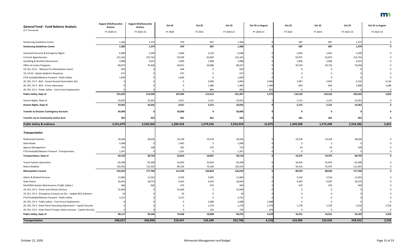| <b>General Fund - Fund Balance Analysis</b>                                                                                     | <b>August EOS/Executive</b><br><b>Actions</b> | <b>August EOS/Executive</b><br><b>Actions</b> | Oct SS    | Oct SS         | Oct SS         | <b>Oct SS vs August</b> | Oct SS      | Oct SS       | Oct SS     | <b>Oct SS vs August</b> |
|---------------------------------------------------------------------------------------------------------------------------------|-----------------------------------------------|-----------------------------------------------|-----------|----------------|----------------|-------------------------|-------------|--------------|------------|-------------------------|
| (\$ in Thousands)                                                                                                               | FY 2020-21                                    | FY 2022-23                                    | FY 2020   | FY 2021        | FY 2020-21     | FY 2020-21              | FY 2022     | FY 2023      | FY 2022-23 | FY 2022-23              |
| <b>Sentencing Guidelines Comm</b>                                                                                               | 1,366                                         | 1,374                                         | 679       | 687            | 1,366          |                         | 687         | 687          | 1,374      |                         |
| <b>Sentencing Guidelines Comm</b>                                                                                               | 1,366                                         | 1,374                                         | 679       | 687            | 1,366          |                         | 687         | 687          | 1,374      |                         |
| Homeland Security & Emergency Mgmt                                                                                              | 6,580                                         | 5,290                                         | 3,460     | 3,120          | 6,580          |                         | 2,645       | 2,645        | 5,290      |                         |
| <b>Criminal Apprehension</b>                                                                                                    | 122,162                                       | 125,744                                       | 59,328    | 62,834         | 122,162        |                         | 62,872      | 62,872       | 125,744    |                         |
| <b>Gambling &amp; Alcohol Enforcement</b>                                                                                       | 3,988                                         | 4,012                                         | 1,990     | 1,998          | 3,988          |                         | 2,006       | 2,006        | 4,012      |                         |
| Office of Justice Programs                                                                                                      | 80,037                                        | 79,458                                        | 40,051    | 39,986         | 80,037         |                         | 39,729      | 39,729       | 79,458     |                         |
| 19, SS1, CH 6 - Melrose Fire Remediation Grant                                                                                  | 644                                           |                                               | 644       |                | 644            |                         |             |              |            |                         |
| 19, CH 63 - Opiate Epidemic Response                                                                                            | 672                                           |                                               | 672       |                | 672            |                         |             |              |            |                         |
| FY19 Available/Balance Forward - Public Saftey                                                                                  | 1,849                                         |                                               | 1,849     | $\Omega$       | 1,849          |                         |             |              |            |                         |
| 20, SS5, CH 3 - BCA - Sexual Assault Examination Kits                                                                           |                                               |                                               |           | 3,096          | 3,096          | 3,096                   | 2,067       | 2,067        | 4,134      | 4,134                   |
| 20, SS5, CH 3 - BCA - Crime Laboratory                                                                                          |                                               |                                               |           | 1,386          | 1,386          | 1,386                   | 844         | 844          | 1,688      | 1,688                   |
| 20, SS5, CH 3 - Public Safety - Civil Unrest Deployment                                                                         |                                               |                                               |           | 893            | 893            | 893                     | $\Omega$    |              |            | $\Omega$                |
|                                                                                                                                 |                                               |                                               |           |                |                |                         |             |              |            |                         |
| <b>Public Safety, Dept of</b>                                                                                                   | 215,932                                       | 214,504                                       | 107,994   | 113,313        | 221,307        | 5,375                   | 110,163     | 110,163      | 220,326    | 5,822                   |
| Human Rights, Dept of                                                                                                           | 10,042                                        | 10,262                                        | 4,911     | 5,131          | 10,042         |                         | 5,131       | 5,131        | 10,262     |                         |
| Human Rights, Dept of                                                                                                           | 10,042                                        | 10,262                                        | 4,911     | 5,131          | 10,042         |                         | 5,131       | 5,131        | 10,262     |                         |
| <b>Transfer to Disaster Contingency Account</b>                                                                                 | 50,000                                        |                                               | 50,000    | $\mathbf 0$    | 50,000         |                         | $\mathbf 0$ | $\mathbf{0}$ |            |                         |
| Transfer out to Community Justice Acct.                                                                                         | 922                                           | 922                                           | 461       | 461            | 922            |                         | 461         | 461          | 922        |                         |
| <b>Public Safety &amp; Judiciary</b>                                                                                            | 2,551,079                                     | 2,536,564                                     | 1,284,418 | 1,279,536      | 2,563,954      | 12,875                  | 1,269,938   | 1,272,448    | 2,542,386  | 5,822                   |
|                                                                                                                                 |                                               |                                               |           |                |                |                         |             |              |            |                         |
| <b>Transportation</b>                                                                                                           |                                               |                                               |           |                |                |                         |             |              |            |                         |
| <b>Multimodal Systems</b>                                                                                                       | 39,446                                        | 38,636                                        | 20,128    | 19,318         | 39,446         |                         | 19,318      | 19,318       | 38,636     |                         |
| <b>State Roads</b>                                                                                                              | 1,068                                         |                                               | 1,065     | -3             | 1,068          |                         |             |              |            |                         |
| Agency Management                                                                                                               | 735                                           |                                               | 365       | 370            | 735            |                         |             | 54           | 108        |                         |
| FY19 Available/Balance Forward - Transportation                                                                                 | 1,261                                         |                                               | 1,261     | 0              | 1,261          |                         | $\mathbf 0$ | $\Omega$     |            |                         |
| <b>Transportation, Dept of</b>                                                                                                  | 42,510                                        | 38,750                                        | 22,819    | 19,691         | 42,510         |                         | 19,375      | 19,375       | 38,750     |                         |
| <b>Transit System Operations</b>                                                                                                | 65,508                                        | 65,308                                        | 32,854    | 32,654         | 65,508         |                         | 32,654      | 32,654       | 65,308     |                         |
| Metro Mobility                                                                                                                  | 150,502                                       | 112,392                                       | 80,336    | 70,166         | 150,502        |                         | 56,416      | 55,976       | 112,392    |                         |
| <b>Metropolitan Council</b>                                                                                                     | 216,010                                       | 177,700                                       | 113,190   | 102,820        | 216,010        |                         | 89,070      | 88,630       | 177,700    |                         |
| Admin & Related Services                                                                                                        | 11,883                                        | 11,032                                        | 5,918     | 5,965          | 11,883         |                         | 5,516       | 5,516        | 11,032     |                         |
| <b>State Patrol</b>                                                                                                             | 18,445                                        | 18,574                                        | 9,201     | 9,244          | 18,445         |                         | 9,287       | 9,287        | 18,574     |                         |
| MnCRASH System Maintenance (Traffic Safety)                                                                                     | 940                                           | 940                                           | 470       | 470            | 940            |                         | 470         | 470          | 940        |                         |
| 19, SS1, CH 3 - Driver and Vehicle Services                                                                                     | 55,669                                        |                                               | 55,669    |                | 55,669         |                         |             |              |            |                         |
| 19, SS1, CH 3 - Emergency Contacts on DLs - Update BCA Software                                                                 | 29                                            |                                               | 29        |                | 29             |                         |             |              |            |                         |
| FY19 Available/Balance Forward - Public Saftey                                                                                  | 3,151                                         |                                               | 3,151     | 0              | 3,151          |                         |             |              |            |                         |
|                                                                                                                                 |                                               |                                               |           |                |                |                         |             |              |            |                         |
| 20, SS5, CH 3 - Public Safety - Civil Unrest Deployment<br>20, SS5, CH 3 - State Patrol Operating Adjustment - Capitol Security |                                               |                                               |           | 2,688<br>1,278 | 2,688<br>1,278 | 2,688<br>1,278          | 1,278       | 1,278        | 2,556      | 2,556                   |
| 20, SS5, CH 3 - State Patrol Trooper Salary Increase - Capitol Security                                                         |                                               |                                               |           | 193            | 193            | 193                     |             |              |            | $\Omega$                |
| <b>Public Safety, Dept of</b>                                                                                                   | 90,117                                        | 30,546                                        | 74,438    | 19,838         | 94,276         | 4,159                   | 16,551      | 16,551       | 33,102     | 2,556                   |
| <b>Transportation</b>                                                                                                           | 348,637                                       | 246,996                                       | 210,447   | 142,349        |                | 4,159                   |             |              |            |                         |

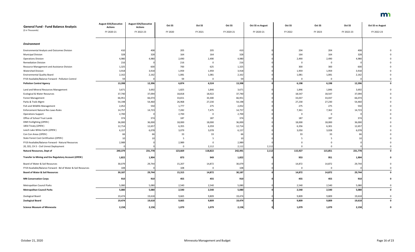| <b>General Fund - Fund Balance Analysis</b>                   | <b>August EOS/Executive</b><br><b>Actions</b> | <b>August EOS/Executive</b><br><b>Actions</b> | Oct SS   | Oct SS      | Oct SS     | <b>Oct SS vs August</b> | Oct SS      | Oct SS      | Oct SS     | <b>Oct SS vs August</b> |
|---------------------------------------------------------------|-----------------------------------------------|-----------------------------------------------|----------|-------------|------------|-------------------------|-------------|-------------|------------|-------------------------|
| (\$ in Thousands)                                             | FY 2020-21                                    | FY 2022-23                                    | FY 2020  | FY 2021     | FY 2020-21 | FY 2020-21              | FY 2022     | FY 2023     | FY 2022-23 | FY 2022-23              |
| <b>Environment</b>                                            |                                               |                                               |          |             |            |                         |             |             |            |                         |
|                                                               |                                               |                                               |          |             |            |                         |             |             |            |                         |
| <b>Environmental Analysis and Outcomes Division</b>           | 410                                           | 408                                           | 205      | 205         | 410        |                         | 204         | 204         | 408        |                         |
| <b>Municipal Division</b>                                     | 328                                           | 328                                           | 164      | 164         | 328        |                         | 164         | 164         | 328        |                         |
| <b>Operations Division</b>                                    | 4,980                                         | 4,980                                         | 2,490    | 2,490       | 4,980      |                         | 2,490       | 2,490       | 4,980      |                         |
| <b>Remediation Division</b>                                   | 216                                           |                                               | 216      | $\mathbf 0$ | 216        |                         | 0           |             |            |                         |
| Resource Management and Assistance Division                   | 1,325                                         | 600                                           | 700      | 625         | 1,325      |                         | 300         | 300         | 600        |                         |
| <b>Watershed Division</b>                                     | 3,918                                         | 3,918                                         | 1,959    | 1,959       | 3,918      |                         | 1,959       | 1,959       | 3,918      |                         |
| <b>Environmental Quality Board</b>                            | 2,162                                         | 2,162                                         | 1,081    | 1,081       | 2,162      |                         | 1,081       | 1,081       | 2,162      |                         |
| FY19 Available/Balance Forward - Pollution Control            | 59                                            |                                               | 59       | $\mathbf 0$ | 59         |                         | $\mathbf 0$ | $\mathbf 0$ |            |                         |
| <b>Pollution Control Agency</b>                               | 13,398                                        | 12,396                                        | 6,874    | 6,524       | 13,398     |                         | 6,198       | 6,198       | 12,396     |                         |
| Land and Mineral Resources Management                         | 3,671                                         | 3,692                                         | 1,825    | 1,846       | 3,671      |                         | 1,846       | 1,846       | 3,692      |                         |
| <b>Ecological &amp; Water Resources</b>                       | 37,740                                        | 37,094                                        | 18,818   | 18,922      | 37,740     |                         | 18,547      | 18,547      | 37,094     |                         |
| <b>Forest Management</b>                                      | 66,951                                        | 66,074                                        | 33,651   | 33,300      | 66,951     |                         | 33,037      | 33,037      | 66,074     |                         |
| Parks & Trails Mgmt                                           | 54,198                                        | 54,460                                        | 26,968   | 27,230      | 54,198     |                         | 27,230      | 27,230      | 54,460     |                         |
| Fish and Wildlife Management                                  | 2,052                                         | 550                                           | 1,777    | 275         | 2,052      |                         | 275         | 275         | 550        |                         |
| <b>Enforcement Natural Res Laws-Rules</b>                     | 14,757                                        | 14,723                                        | 7,282    | 7,475       | 14,757     |                         | 7,361       | 7,362       | 14,723     |                         |
| <b>Operations Support</b>                                     | 2,700                                         |                                               | 2,700    | 0           | 2,700      |                         | 0           | 0           |            |                         |
| Office of School Trust Lands                                  | 374                                           | 374                                           | 187      | 187         | 374        |                         | 187         | 187         | 374        |                         |
| DNR Firefighting (OPEN)                                       | 36,000                                        | 36,000                                        | 18,000   | 18,000      | 36,000     |                         | 18,000      | 18,000      | 36,000     |                         |
| 1854 Treaty (OPEN)                                            | 12,714                                        | 12,657                                        | 6,355    | 6,359       | 12,714     |                         | 6,356       | 6,301       | 12,657     |                         |
| Leech Lake White Earth (OPEN)                                 | 6,157                                         | 6,078                                         | 3,079    | 3,078       | 6,157      |                         | 3,050       | 3,028       | 6,078      |                         |
| Con Con Areas (OPEN)                                          |                                               |                                               | 33       | 33          | 66         |                         | 33          | 33          | 66         |                         |
| State Forest Cost Certification (OPEN)                        |                                               |                                               | - 5      | 5           | 10         |                         |             |             |            |                         |
| FY19 Available/Balance Forward - Natural Resources            | 2,989                                         |                                               | 2,989    | $\Omega$    | 2,989      |                         |             |             |            |                         |
| 20, SS5, CH 3 - Civil Unrest Deployment                       |                                               |                                               | $\Omega$ | 2,112       | 2,112      | 2,112                   |             |             |            |                         |
| <b>Natural Resources, Dept of</b>                             | 240,379                                       | 231,778                                       | 123,669  | 118,822     | 242,491    | 2,112                   | 115,927     | 115,851     | 231,778    | 0                       |
| Transfer to Mining and Env Regulatory Account (OPEN)          | 1,822                                         | 1,904                                         | 873      | 949         | 1,822      |                         | 953         | 951         | 1,904      |                         |
| Board of Water & Soil Resources                               | 30,079                                        | 29,744                                        | 15,207   | 14,872      | 30,079     |                         | 14,872      | 14,872      | 29,744     |                         |
| FY19 Available/Balance Forward - Bd of Water & Soil Resources | 108                                           |                                               | 108      | $\mathbf 0$ | 108        |                         | 0           | 0           |            |                         |
| <b>Board of Water &amp; Soil Resources</b>                    | 30,187                                        | 29,744                                        | 15,315   | 14,872      | 30,187     |                         | 14,872      | 14,872      | 29,744     | $\mathbf{0}$            |
| <b>MN Conservation Corps</b>                                  | 910                                           | 910                                           | 455      | 455         | 910        |                         | 455         | 455         | 910        |                         |
| Metropolitan Council Parks                                    | 5,080                                         | 5,080                                         | 2,540    | 2,540       | 5,080      |                         | 2,540       | 2,540       | 5,080      | 0                       |
| <b>Metropolitan Council Parks</b>                             | 5,080                                         | 5,080                                         | 2,540    | 2,540       | 5,080      |                         | 2,540       | 2,540       | 5,080      | $\mathbf 0$             |
| Zoological Board                                              | 19,474                                        | 19,618                                        | 9,665    | 9,809       | 19,474     |                         | 9,809       | 9,809       | 19,618     | 0                       |
| <b>Zoological Board</b>                                       | 19,474                                        | 19,618                                        | 9,665    | 9,809       | 19,474     |                         | 9,809       | 9,809       | 19,618     | 0                       |
| <b>Science Museum of Minnesota</b>                            | 2,158                                         | 2,158                                         | 1,079    | 1,079       | 2,158      |                         | 1,079       | 1,079       | 2,158      | $\mathbf 0$             |

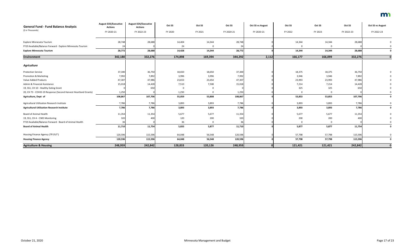| <b>General Fund - Fund Balance Analysis</b>                     | <b>August EOS/Executive</b><br><b>Actions</b> | <b>August EOS/Executive</b><br><b>Actions</b> | Oct SS  | Oct SS   | Oct SS     | <b>Oct SS vs August</b> | Oct SS  | Oct SS  | Oct SS     | <b>Oct SS vs August</b> |
|-----------------------------------------------------------------|-----------------------------------------------|-----------------------------------------------|---------|----------|------------|-------------------------|---------|---------|------------|-------------------------|
| (\$ in Thousands)                                               | FY 2020-21                                    | FY 2022-23                                    | FY 2020 | FY 2021  | FY 2020-21 | FY 2020-21              | FY 2022 | FY 2023 | FY 2022-23 | FY 2022-23              |
| Explore Minnesota Tourism                                       | 28,748                                        | 28,688                                        | 14,404  | 14,344   | 28,748     |                         | 14,344  | 14,344  | 28,688     |                         |
| FY19 Available/Balance Forward - Explore Minnesota Tourism      | 24                                            |                                               | 24      | 0        | 24         |                         |         |         |            |                         |
| <b>Explore Minnesota Tourism</b>                                | 28,772                                        | 28,688                                        | 14,428  | 14,344   | 28,772     |                         | 14,344  | 14,344  | 28,688     |                         |
| <b>Environment</b>                                              | 342,180                                       | 332,276                                       | 174,898 | 169,394  | 344,292    | 2,112                   | 166,177 | 166,099 | 332,276    |                         |
| <b>Agriculture</b>                                              |                                               |                                               |         |          |            |                         |         |         |            |                         |
| <b>Protection Service</b>                                       | 37,300                                        | 36,750                                        | 18,650  | 18,650   | 37,300     |                         | 18,375  | 18,375  | 36,750     |                         |
| <b>Promotion &amp; Marketing</b>                                | 7,992                                         | 7,892                                         | 3,996   | 3,996    | 7,992      |                         | 3,946   | 3,946   | 7,892      |                         |
| Value-Added Products                                            | 47,307                                        | 47,986                                        | 23,653  | 23,654   | 47,307     |                         | 23,993  | 23,993  | 47,986     |                         |
| Admin & Financial Assistance                                    | 15,018                                        | 14,428                                        | 7,510   | 7,508    | 15,018     |                         | 7,214   | 7,214   | 14,428     |                         |
| 19, SS1, CH 10 - Healthy Eating Grant                           |                                               | 650                                           | 0       | 0        |            |                         | 325     | 325     | 650        |                         |
| 20, CH 73 - COVID-19 Response (Second Harvest Heartland Grants) | 1,250                                         |                                               | 1,250   | $\Omega$ | 1,250      |                         |         |         |            |                         |
| Agriculture, Dept of                                            | 108,867                                       | 107,706                                       | 55,059  | 53,808   | 108,867    |                         | 53,853  | 53,853  | 107,706    |                         |
| Agricultural Utilization Research Institute                     | 7,786                                         | 7,786                                         | 3,893   | 3,893    | 7,786      |                         | 3,893   | 3,893   | 7,786      |                         |
| <b>Agricultural Utilization Research Institute</b>              | 7,786                                         | 7,786                                         | 3,893   | 3,893    | 7,786      |                         | 3,893   | 3,893   | 7,786      |                         |
| <b>Board of Animal Health</b>                                   | 11,354                                        | 11,354                                        | 5,677   | 5,677    | 11,354     |                         | 5,677   | 5,677   | 11,354     |                         |
| 19, SS1, CH 4 - CWD Monitoring                                  | 320                                           | 400                                           | 120     | 200      | 320        |                         | 200     | 200     | 400        |                         |
| FY19 Available/Balance Forward - Board of Animal Health         | 36                                            |                                               | 36      | 0        | 36         |                         |         |         |            |                         |
| <b>Board of Animal Health</b>                                   | 11,710                                        | 11,754                                        | 5,833   | 5,877    | 11,710     |                         | 5,877   | 5,877   | 11,754     |                         |
| Housing Finance Agency (TR OUT)                                 | 120,596                                       | 115,596                                       | 64,048  | 56,548   | 120,596    |                         | 57,798  | 57,798  | 115,596    |                         |
| <b>Housing Finance Agency</b>                                   | 120,596                                       | 115,596                                       | 64,048  | 56,548   | 120,596    |                         | 57,798  | 57,798  | 115,596    | $\mathbf 0$             |
| <b>Agriculture &amp; Housing</b>                                | 248,959                                       | 242,842                                       | 128,833 | 120,126  | 248,959    | 0                       | 121,421 | 121,421 | 242,842    | $\mathbf{0}$            |

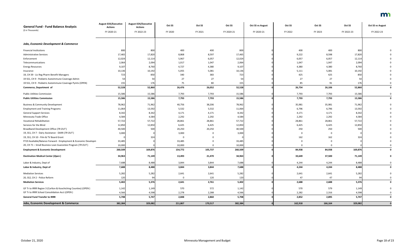| <b>General Fund - Fund Balance Analysis</b>                     | <b>August EOS/Executive</b><br><b>Actions</b> | <b>August EOS/Executive</b><br><b>Actions</b> | Oct SS   | Oct SS   | Oct SS     | <b>Oct SS vs August</b> | Oct SS  | Oct SS  | Oct SS     | <b>Oct SS vs August</b> |
|-----------------------------------------------------------------|-----------------------------------------------|-----------------------------------------------|----------|----------|------------|-------------------------|---------|---------|------------|-------------------------|
| (\$ in Thousands)                                               | FY 2020-21                                    | FY 2022-23                                    | FY 2020  | FY 2021  | FY 2020-21 | FY 2020-21              | FY 2022 | FY 2023 | FY 2022-23 | FY 2022-23              |
|                                                                 |                                               |                                               |          |          |            |                         |         |         |            |                         |
| <b>Jobs, Economic Development &amp; Commerce</b>                |                                               |                                               |          |          |            |                         |         |         |            |                         |
| <b>Financial Institutions</b>                                   | 800                                           | 800                                           | 400      | 400      | 800        |                         | 400     | 400     | 800        |                         |
| <b>Administrative Services</b>                                  | 17,465                                        | 17,820                                        | 8,868    | 8,597    | 17,465     |                         | 9,222   | 8,598   | 17,820     |                         |
| Enforcement                                                     | 12,024                                        | 12,114                                        | 5,967    | 6,057    | 12,024     |                         | 6,057   | 6,057   | 12,114     |                         |
| Telecommunications                                              | 2,064                                         | 2,094                                         | 1,017    | 1,047    | 2,064      |                         | 1,047   | 1,047   | 2,094      |                         |
| <b>Energy Resources</b>                                         | 9,107                                         | 8,760                                         | 4,727    | 4,380    | 9,107      |                         | 4,380   | 4,380   | 8,760      |                         |
| Insurance                                                       | 10,136                                        | 10,192                                        | 5,055    | 5,081    | 10,136     |                         | 5,111   | 5,081   | 10,192     |                         |
| 19, CH 39 - Lic Reg Pharm Benefit Managers                      | 723                                           | 850                                           | 340      | 383      | 723        |                         | 425     | 425     | 850        |                         |
| 19 SS1, CH 9 - Pediatric Autoimmune Coverage Admin              | 54                                            | -54                                           | 27       | 27       | 54         |                         | 27      | 27      | 54         |                         |
| 19 SS1, CH 9 - Pediatric Autoimmune Coverage Pymts (OPEN)       | 155                                           | 176                                           | 75       | 80       | 155        |                         | 85      | 91      | 176        |                         |
| Commerce, Department of                                         | 52,528                                        | 52,860                                        | 26,476   | 26,052   | 52,528     |                         | 26,754  | 26,106  | 52,860     |                         |
| <b>Public Utilities Commission</b>                              | 15,586                                        | 15,586                                        | 7,793    | 7,793    | 15,586     |                         | 7,793   | 7,793   | 15,586     |                         |
| <b>Public Utilities Commission</b>                              | 15,586                                        | 15,586                                        | 7,793    | 7,793    | 15,586     |                         | 7,793   | 7,793   | 15,586     |                         |
| <b>Business &amp; Community Development</b>                     | 78,962                                        | 71,962                                        | 40,756   | 38,206   | 78,962     |                         | 35,981  | 35,981  | 71,962     |                         |
| <b>Employment and Training Programs</b>                         | 11,064                                        | 13,592                                        | 5,532    | 5,532    | 11,064     |                         | 6,796   | 6,796   | 13,592     |                         |
| <b>General Support Services</b>                                 | 8,342                                         | 8,342                                         | 4,171    | 4,171    | 8,342      |                         | 4,171   | 4,171   | 8,342      |                         |
| Minnesota Trade Office                                          | 4,584                                         | 4,584                                         | 2,292    | 2,292    | 4,584      |                         | 2,292   | 2,292   | 4,584      |                         |
| <b>Vocational Rehabilitation</b>                                | 57,722                                        | 57,722                                        | 28,861   | 28,861   | 57,722     |                         | 28,861  | 28,861  | 57,722     |                         |
| Services for the Blind                                          | 12,850                                        | 12,850                                        | 6,425    | 6,425    | 12,850     |                         | 6,425   | 6,425   | 12,850     |                         |
| Broadband Development Office (TR-OUT)                           | 40,500                                        | 500                                           | 20,250   | 20,250   | 40,500     |                         | 250     | 250     | 500        |                         |
| 19, SS1, CH 7 - Dairy Assistance - DAIRI (TR OUT)               | 3,000                                         |                                               | 3,000    | $\Omega$ | 3,000      |                         | 0       | - 0     |            |                         |
| 19, SS1, CH 10 - Film & TV Board Grant                          |                                               | 324                                           | - 0      |          |            |                         | 162     | 162     | 324        |                         |
| FY19 Available/Balance Forward - Employment & Economic Developm | 33,485                                        |                                               | 33,485   |          | 33,485     |                         |         |         |            |                         |
| 20, CH 71 - Small Business Loan Guarantee Program (TR OUT)      | 10,000                                        |                                               | 10,000   |          | 10,000     |                         |         |         |            |                         |
| <b>Employment &amp; Economic Development</b>                    | 260,509                                       | 169,876                                       | 154,772  | 105,737  | 260,509    |                         | 84,938  | 84,938  | 169,876    |                         |
| <b>Destination Medical Center (Open)</b>                        | 34,963                                        | 71,149                                        | 13,493   | 21,470   | 34,963     |                         | 33,649  | 37,500  | 71,149     |                         |
| Labor & Industry, Dept of                                       | 7,688                                         | 8,488                                         | 3,844    | 3,844    | 7,688      |                         | 4,244   | 4,244   | 8,488      | 0                       |
| Labor & Industry, Dept of                                       | 7,688                                         | 8,488                                         | 3,844    | 3,844    | 7,688      |                         | 4,244   | 4,244   | 8,488      |                         |
| <b>Mediation Services</b>                                       | 5,282                                         | 5,282                                         | 2,641    | 2,641    | 5,282      |                         | 2,641   | 2,641   | 5,282      |                         |
| 20, SS2, CH 2 - Police Reform                                   | 120                                           | 94                                            | $\Omega$ | 120      | 120        |                         | 47      | 47      | 94         |                         |
| <b>Mediation Services</b>                                       | 5,402                                         | 5,376                                         | 2,641    | 2,761    | 5,402      |                         | 2,688   | 2,688   | 5,376      |                         |
| GF Tr to IRRR Region 3 (Carlton & Koochiching Counties) (OPEN)  | 1,142                                         | 1,149                                         | 570      | 572      | 1,142      |                         | 570     | 579     | 1,149      |                         |
| GF Tr to IRRR School Consolidation Acct (OPEN)                  | 4,566                                         | 4,598                                         | 2,278    | 2,288    | 4,566      |                         | 2,282   | 2,316   | 4,598      |                         |
| <b>General Fund Transfer to IRRR</b>                            | 5,708                                         | 5,747                                         | 2,848    | 2,860    | 5,708      |                         | 2,852   | 2,895   | 5,747      | 0                       |
| <b>Jobs, Economic Development &amp; Commerce</b>                | 382,384                                       | 329,082                                       | 211,867  | 170,517  | 382,384    | n                       | 162,918 | 166,164 | 329,082    |                         |

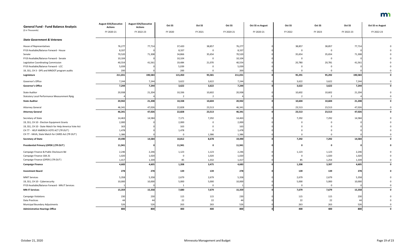| <b>General Fund - Fund Balance Analysis</b>            | <b>August EOS/Executive</b><br><b>Actions</b> | <b>August EOS/Executive</b><br><b>Actions</b> | Oct SS         | Oct SS         | Oct SS     | <b>Oct SS vs August</b> | Oct SS         | Oct SS         | Oct SS     | <b>Oct SS vs August</b> |
|--------------------------------------------------------|-----------------------------------------------|-----------------------------------------------|----------------|----------------|------------|-------------------------|----------------|----------------|------------|-------------------------|
| (\$ in Thousands)                                      | FY 2020-21                                    | FY 2022-23                                    | FY 2020        | FY 2021        | FY 2020-21 | FY 2020-21              | FY 2022        | FY 2023        | FY 2022-23 | FY 2022-23              |
| <b>State Government &amp; Veterans</b>                 |                                               |                                               |                |                |            |                         |                |                |            |                         |
| House of Representatives                               | 76,277                                        | 77,714                                        | 37,420         | 38,857         | 76,277     |                         | 38,857         | 38,857         | 77,714     |                         |
| FY19 Available/Balance Forward - House                 | 8,337                                         |                                               | 8,337          | $\mathbf 0$    | 8,337      |                         | 0              |                |            |                         |
| Senate                                                 | 70,520                                        | 71,308                                        | 34,866         | 35,654         | 70,520     |                         | 35,654         | 35,654         | 71,308     |                         |
| FY19 Available/Balance Forward - Senate                | 10,104                                        |                                               | 10,104         | $\mathbf{0}$   | 10,104     |                         | 0              | $\Omega$       |            |                         |
| Legislative Coordinating Commission                    | 40,554                                        | 41,561                                        | 19,484         | 21,070         | 40,554     |                         | 20,780         | 20,781         | 41,561     |                         |
| FY19 Available/Balance Forward - LCC                   | 5,039                                         |                                               | 5,039          | 0              | 5,039      |                         |                |                |            |                         |
| 19, SS1, CH 3 - DPS and MNDOT program audits           | 200                                           |                                               | 200            | $\mathbf 0$    | 200        |                         | 0              |                |            |                         |
| Legislature                                            | 211,031                                       | 190,583                                       | 115,450        | 95,581         | 211,031    |                         | 95,291         | 95,292         | 190,583    |                         |
| Governor's Office                                      | 7,244                                         | 7,244                                         | 3,622          | 3,622          | 7,244      |                         | 3,622          | 3,622          | 7,244      |                         |
| <b>Governor's Office</b>                               | 7,244                                         | 7,244                                         | 3,622          | 3,622          | 7,244      |                         | 3,622          | 3,622          | 7,244      |                         |
| <b>State Auditor</b>                                   | 20,938                                        | 21,204                                        | 10,336         | 10,602         | 20,938     |                         | 10,602         | 10,602         | 21,204     |                         |
| <b>Statutory Local Performance Measurement Rptg</b>    |                                               |                                               | $\overline{2}$ | $\overline{2}$ |            |                         | $\overline{2}$ | $\overline{2}$ |            |                         |
| <b>State Auditor</b>                                   | 20,942                                        | 21,208                                        | 10,338         | 10,604         | 20,942     |                         | 10,604         | 10,604         | 21,208     |                         |
| <b>Attorney General</b>                                | 46,341                                        | 47,026                                        | 22,828         | 23,513         | 46,341     |                         | 23,513         | 23,513         | 47,026     |                         |
| <b>Attorney General</b>                                | 46,341                                        | 47,026                                        | 22,828         | 23,513         | 46,341     |                         | 23,513         | 23,513         | 47,026     |                         |
| Secretary of State                                     | 14,463                                        | 14,584                                        | 7,171          | 7,292          | 14,463     |                         | 7,292          | 7,292          | 14,584     |                         |
| 19, SS1, CH 10 - Election Equipment Grants             | 2,000                                         |                                               | 2,000          | 0              | 2,000      |                         |                |                |            |                         |
| 19, SS1, CH 10 - State Match for Help America Vote Act | 163                                           |                                               | 163            | $\Omega$       | 163        |                         |                |                |            |                         |
| CH 77 - HELP AMERICA VOTE ACT (TR OUT)                 | 1,478                                         |                                               | 1,478          | $\Omega$       | 1,478      |                         |                |                |            |                         |
| CH 77 - HAVA, State Match for CARES Act (TR OUT)       | 1,386                                         |                                               | 0              | 1,386          | 1,386      |                         |                |                |            |                         |
| <b>Secretary of State</b>                              | 19,490                                        | 14,584                                        | 10,812         | 8,678          | 19,490     |                         | 7,292          | 7,292          | 14,584     |                         |
| Presidential Primary (OPEN) (TR OUT)                   | 11,941                                        |                                               | 11,941         | $\mathbf 0$    | 11,941     |                         | 0              | 0              |            |                         |
| Campaign Finance & Public Disclosure Bd                | 2,246                                         | 2,246                                         | 1,123          | 1,123          | 2,246      |                         | 1,123          | 1,123          | 2,246      |                         |
| Campaign Finance 10A.31                                | 1,020                                         | 1,020                                         | $\mathbf{0}$   | 1,020          | 1,020      |                         | 0              | 1,020          | 1,020      |                         |
| Campaign Finance (OPEN) (TR OUT)                       | 1,417                                         | 1,339                                         | 85             | 1,332          | 1,417      |                         | 85             | 1,254          | 1,339      |                         |
| <b>Campaign Finance</b>                                | 4,683                                         | 4,605                                         | 1,208          | 3,475          | 4,683      |                         | 1,208          | 3,397          | 4,605      | $\mathbf 0$             |
| <b>Investment Board</b>                                | 278                                           | 278                                           | 139            | 139            | 278        |                         | 139            | 139            | 278        |                         |
| <b>MNIT Services</b>                                   | 5,358                                         | 5,358                                         | 2,679          | 2,679          | 5,358      |                         | 2,679          | 2,679          | 5,358      |                         |
| 19, SS1, CH 10 - Cybersecurity                         | 10,000                                        | 10,000                                        | 5,000          | 5,000          | 10,000     |                         | 5,000          | 5,000          | 10,000     |                         |
| FY19 Available/Balance Forward - MN.IT Services        |                                               |                                               |                | $\mathbf{0}$   |            |                         | $\mathbf 0$    | 0              |            |                         |
| <b>MN-IT Services</b>                                  | 15,359                                        | 15,358                                        | 7,680          | 7,679          | 15,359     |                         | 7,679          | 7,679          | 15,358     |                         |
| <b>Campaign Violations</b>                             | 230                                           | 230                                           | 115            | 115            | 230        |                         | 115            | 115            | 230        |                         |
| Data Practices                                         | 44                                            | 44                                            | 22             | 22             | 44         |                         | 22             | 22             | 44         |                         |
| <b>Municipal Boundary Adjustments</b>                  | 526                                           | 526                                           | 263            | 263            | 526        |                         | 263            | 263            | 526        |                         |
| <b>Administrative Hearings Office</b>                  | 800                                           | 800                                           | 400            | 400            | 800        |                         | 400            | 400            | 800        | $\mathbf 0$             |

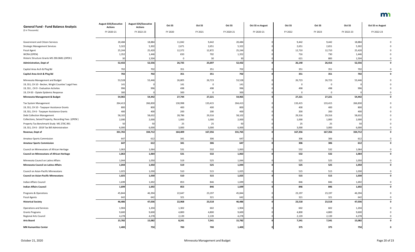| <b>General Fund - Fund Balance Analysis</b>          | <b>August EOS/Executive</b><br><b>Actions</b> | <b>August EOS/Executive</b><br><b>Actions</b> | Oct SS       | Oct SS      | Oct SS     | <b>Oct SS vs August</b> | Oct SS      | Oct SS   | Oct SS     | <b>Oct SS vs August</b> |
|------------------------------------------------------|-----------------------------------------------|-----------------------------------------------|--------------|-------------|------------|-------------------------|-------------|----------|------------|-------------------------|
| (\$ in Thousands)                                    | FY 2020-21                                    | FY 2022-23                                    | FY 2020      | FY 2021     | FY 2020-21 | FY 2020-21              | FY 2022     | FY 2023  | FY 2022-23 | FY 2022-23              |
| Government and Citizen Services                      | 20,484                                        | 18,884                                        | 11,042       | 9,442       | 20,484     |                         | 9,442       | 9,442    | 18,884     |                         |
| <b>Strategic Management Services</b>                 | 5,322                                         | 5,302                                         | 2,671        | 2,651       | 5,322      |                         | 2,651       | 2,651    | 5,302      |                         |
| <b>Fiscal Agent</b>                                  | 25,244                                        | 25,420                                        | 12,372       | 12,872      | 25,244     |                         | 12,710      | 12,710   | 25,420     |                         |
| WCRA (OPEN)                                          | 1,352                                         | 1,446                                         | 650          | 702         | 1,352      |                         | 716         | 730      | 1,446      |                         |
| Historic Structure Grants MS 290.0681 (OPEN)         | 30                                            | 1,504                                         | $\mathsf{O}$ | 30          | 30         |                         | 621         | 883      | 1,504      |                         |
| <b>Administration, Dept of</b>                       | 52,432                                        | 52,556                                        | 26,735       | 25,697      | 52,432     |                         | 26,140      | 26,416   | 52,556     |                         |
| Capitol Area Arch & Plng Bd                          | 702                                           | 702                                           | 351          | 351         | 702        |                         | 351         | 351      | 702        |                         |
| Capitol Area Arch & Ping Bd                          | 702                                           | 702                                           | 351          | 351         | 702        |                         | 351         | 351      | 702        |                         |
| Minnesota Management and Budget                      | 53,528                                        | 53,446                                        | 26,805       | 26,723      | 53,528     |                         | 26,723      | 26,723   | 53,446     |                         |
| 19, SS1, CH 10 - Becker, Wright Counties' Legal Fees | 141                                           |                                               | 141          | $\mathbf 0$ | 141        |                         | $\mathbf 0$ | 0        |            |                         |
| 19, SS1, CH 9 - Evaluation Activites                 | 996                                           | 996                                           | 498          | 498         | 996        |                         | 498         | 498      | 996        |                         |
| 19, CH 63 - Opiate Epidemic Response                 | 300                                           |                                               | 300          | $\mathbf 0$ | 300        |                         | $\Omega$    | $\Omega$ |            |                         |
| <b>Minnesota Management &amp; Budget</b>             | 54,965                                        | 54,442                                        | 27,744       | 27,221      | 54,965     |                         | 27,221      | 27,221   | 54,442     |                         |
| Tax System Management                                | 264,413                                       | 266,830                                       | 130,998      | 133,415     | 264,413    |                         | 133,415     | 133,415  | 266,830    |                         |
| 19, SS1, CH 10 - Taxpayer Assistance Grants          | 800                                           | 800                                           | 400          | 400         | 800        |                         | 400         | 400      | 800        |                         |
| 19, SS1, CH 6 - Taxpayer Assistance Grants           | 400                                           | 400                                           | 200          | 200         | 400        |                         | 200         | 200      | 400        |                         |
| <b>Debt Collection Management</b>                    | 58,102                                        | 58,632                                        | 28,786       | 29,316      | 58,102     |                         | 29,316      | 29,316   | 58,632     |                         |
| Collections, Seized Property, Recording Fees (OPEN)  | 2,000                                         | 2,000                                         | 1,000        | 1,000       | 2,000      |                         | 1,000       | 1,000    | 2,000      |                         |
| Property Tax Benchmark Study MS 270C.991             | -50                                           |                                               | 25           | 25          | 50         |                         | 25          | 25       | 50         |                         |
| 19, SS1, CH 6 - 2019 Tax Bill Administration         | 6,000                                         | 6,000                                         | 3,000        | 3,000       | 6,000      |                         | 3,000       | 3,000    | 6,000      |                         |
| Revenue, Dept of                                     | 331,765                                       | 334,712                                       | 164,409      | 167,356     | 331,765    |                         | 167,356     | 167,356  | 334,712    | $\mathbf{0}$            |
| <b>Amateur Sports Commission</b>                     | 647                                           | 612                                           | 341          | 306         | 647        |                         | 306         | 306      | 612        |                         |
| <b>Amateur Sports Commission</b>                     | 647                                           | 612                                           | 341          | 306         | 647        |                         | 306         | 306      | 612        | 0                       |
| Council on Minnesotans of African Heritage           | 1,063                                         | 1,064                                         | 531          | 532         | 1,063      |                         | 532         | 532      | 1,064      | $\mathbf 0$             |
| <b>Council on Minnesotans of African Heritage</b>    | 1,063                                         | 1,064                                         | 531          | 532         | 1,063      |                         | 532         | 532      | 1,064      | $\mathbf{0}$            |
| Minnesota Council on Latino Affairs                  | 1,044                                         | 1,050                                         | 519          | 525         | 1,044      |                         | 525         | 525      | 1,050      |                         |
| <b>Minnesota Council on Latino Affairs</b>           | 1,044                                         | 1,050                                         | 519          | 525         | 1,044      |                         | 525         | 525      | 1,050      | 0                       |
| Council on Asian-Pacific Minnesotans                 | 1,025                                         | 1,030                                         | 510          | 515         | 1,025      |                         | 515         | 515      | 1,030      |                         |
| <b>Council on Asian-Pacific Minnesotans</b>          | 1,025                                         | 1,030                                         | 510          | 515         | 1,025      |                         | 515         | 515      | 1,030      | 0                       |
| Indian Affairs Council                               | 1,699                                         | 1,692                                         | 853          | 846         | 1,699      |                         | 846         | 846      | 1,692      |                         |
| <b>Indian Affairs Council</b>                        | 1,699                                         | 1,692                                         | 853          | 846         | 1,699      |                         | 846         | 846      | 1,692      | $\mathbf{0}$            |
| Programs & Operations                                | 45,844                                        | 46,394                                        | 22,647       | 23,197      | 45,844     |                         | 23,197      | 23,197   | 46,394     |                         |
| <b>Fiscal Agents</b>                                 | 642                                           | 642                                           | 321          | 321         | 642        |                         | 321         | 321      | 642        |                         |
| <b>Historical Society</b>                            | 46,486                                        | 47,036                                        | 22,968       | 23,518      | 46,486     |                         | 23,518      | 23,518   | 47,036     | $\mathbf{0}$            |
| <b>Operations and Services</b>                       | 1,904                                         | 1,204                                         | 1,302        | 602         | 1,904      |                         | 602         | 602      | 1,204      |                         |
| <b>Grants Programs</b>                               | 9,600                                         | 9,600                                         | 4,800        | 4,800       | 9,600      |                         | 4,800       | 4,800    | 9,600      |                         |
| Regional Arts Council                                | 4,278                                         | 4,278                                         | 2,139        | 2,139       | 4,278      |                         | 2,139       | 2,139    | 4,278      |                         |
| <b>Arts Board</b>                                    | 15,782                                        | 15,082                                        | 8,241        | 7,541       | 15,782     |                         | 7,541       | 7,541    | 15,082     | $\mathbf{0}$            |
| <b>MN Humanities Center</b>                          | 1,400                                         | 750                                           | 700          | 700         | 1,400      |                         | 375         | 375      | 750        | 0                       |

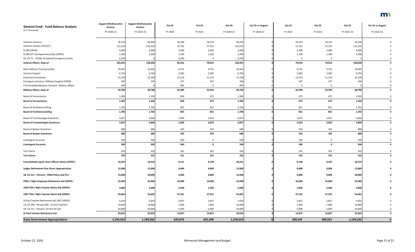| <b>General Fund - Fund Balance Analysis</b>                | <b>August EOS/Executive</b><br><b>Actions</b> | <b>August EOS/Executive</b><br><b>Actions</b> | Oct SS  | Oct SS      | Oct SS     | <b>Oct SS vs August</b> | Oct SS      | Oct SS       | Oct SS     | <b>Oct SS vs August</b> |
|------------------------------------------------------------|-----------------------------------------------|-----------------------------------------------|---------|-------------|------------|-------------------------|-------------|--------------|------------|-------------------------|
| (\$ in Thousands)                                          | FY 2020-21                                    | FY 2022-23                                    | FY 2020 | FY 2021     | FY 2020-21 | FY 2020-21              | FY 2022     | FY 2023      | FY 2022-23 | FY 2022-23              |
| <b>Veterans Services</b>                                   | 36,333                                        | 36,306                                        | 18,180  | 18,153      | 36,333     |                         | 18,153      | 18,153       | 36,306     |                         |
| Veterans Homes (TR OUT)                                    | 115,522                                       | 115,522                                       | 57,761  | 57,761      | 115,522    |                         | 57,761      | 57,761       | 115,522    |                         |
| GI Bill (OPEN)                                             | 4,000                                         | 4,000                                         | 2,000   | 2,000       | 4,000      |                         | 2,000       | 2,000        | 4,000      |                         |
| GI Bill OJT and Apprenticeships (OPEN)                     | 2,200                                         | 2,200                                         | 1,100   | 1,100       | 2,200      |                         | 1,100       | 1,100        | 2,200      |                         |
| 20, CH 71 - COVID-19 Special Emergency Grants              | 6,200                                         |                                               | 6,200   | $\mathbf 0$ | 6,200      |                         | $\mathbf 0$ | $\mathsf{O}$ |            |                         |
| Veteran Affairs, Dept of                                   | 164,255                                       | 158,028                                       | 85,241  | 79,014      | 164,255    |                         | 79,014      | 79,014       | 158,028    |                         |
| Main-Military Training Facility                            | 19,402                                        | 19,402                                        | 9,701   | 9,701       | 19,402     |                         | 9,701       | 9,701        | 19,402     |                         |
| <b>General Support</b>                                     | 6,764                                         | 6,764                                         | 3,382   | 3,382       | 6,764      |                         | 3,382       | 3,382        | 6,764      |                         |
| <b>Enlistment Incentives</b>                               | 22,228                                        | 22,228                                        | 11,114  | 11,114      | 22,228     |                         | 11,114      | 11,114       | 22,228     |                         |
| <b>Emergency Services / Military Support (OPEN)</b>        | 394                                           | 394                                           | 197     | 197         | 394        |                         | 197         | 197          | 394        |                         |
| FY19 Available/Balance Forward - Military Affairs          | 995                                           |                                               | 995     | $\mathbf 0$ | 995        |                         | $\Omega$    | - 0          |            |                         |
| <b>Military Affairs, Dept of</b>                           | 49,783                                        | 48,788                                        | 25,389  | 24,394      | 49,783     |                         | 24,394      | 24,394       | 48,788     |                         |
| <b>Board of Accountancy</b>                                | 1,369                                         | 1,350                                         | 694     | 675         | 1,369      |                         | 675         | 675          | 1,350      |                         |
| <b>Board of Accountancy</b>                                | 1,369                                         | 1,350                                         | 694     | 675         | 1,369      |                         | 675         | 675          | 1,350      | $\mathbf 0$             |
| Board of Architectural/Eng                                 | 1,706                                         | 1,702                                         | 855     | 851         | 1,706      |                         | 851         | 851          | 1,702      |                         |
| <b>Board of Architectural/Eng</b>                          | 1,706                                         | 1,702                                         | 855     | 851         | 1,706      |                         | 851         | 851          | 1,702      |                         |
| <b>Board of Cosmetologist Examiners</b>                    | 5,827                                         | 5,846                                         | 2,904   | 2,923       | 5,827      |                         | 2,923       | 2,923        | 5,846      |                         |
| <b>Board of Cosmetologist Examiners</b>                    | 5,827                                         | 5,846                                         | 2,904   | 2,923       | 5,827      |                         | 2,923       | 2,923        | 5,846      |                         |
| <b>Board of Barber Examiners</b>                           | 686                                           | 686                                           | 343     | 343         | 686        |                         | 343         | 343          | 686        |                         |
| <b>Board of Barber Examiners</b>                           | 686                                           | 686                                           | 343     | 343         | 686        |                         | 343         | 343          | 686        |                         |
| <b>Contingent Accounts</b>                                 | 500                                           | 500                                           | 500     | $\mathbf 0$ | 500        |                         | 500         | $\mathbf 0$  | 500        |                         |
| <b>Contingent Accounts</b>                                 | 500                                           | 500                                           | 500     | $\mathbf 0$ | 500        |                         | 500         | $\mathbf 0$  | 500        |                         |
| <b>Tort Claims</b>                                         | 322                                           | 322                                           | 161     | 161         | 322        |                         | 161         | 161          | 322        | $\mathbf 0$             |
| <b>Tort Claims</b>                                         | 322                                           | 322                                           | 161     | 161         | 322        |                         | 161         | 161          | 322        | $\mathbf 0$             |
| <b>Consolidated Leg &amp; Const Officers Retire (OPEN)</b> | 18,241                                        | 18,310                                        | 9,111   | 9,130       | 18,241     |                         | 9,148       | 9,162        | 18,310     |                         |
| <b>Judges Retirement Plan Direct Appropriation</b>         | 12,000                                        | 12,000                                        | 6,000   | 6,000       | 12,000     |                         | 6,000       | 6,000        | 12,000     |                         |
| 18, CH 211 - Pension, PERA Police and Fire                 | 13,500                                        | 18,000                                        | 4,500   | 9,000       | 13,500     |                         | 9,000       | 9,000        | 18,000     |                         |
| PERA / Mpls Employee Retirement Aid (OPEN)                 | 32,000                                        | 32,000                                        | 16,000  | 16,000      | 32,000     |                         | 16,000      | 16,000       | 32,000     |                         |
| 1993 TRA / Mpls Teacher Retire Aid (OPEN)                  | 5,000                                         | 5,000                                         | 2,500   | 2,500       | 5,000      |                         | 2,500       | 2,500        | 5,000      |                         |
| 1997 TRA / Mpls Teacher Retire Aid (OPEN)                  | 54,662                                        | 54,662                                        | 27,331  | 27,331      | 54,662     |                         | 27,331      | 27,331       | 54,662     |                         |
| St Paul Teacher Retirement Aid 1997 (OPEN)                 | 5,654                                         | 5,654                                         | 2,827   | 2,827       | 5,654      |                         | 2,827       | 2,827        | 5,654      |                         |
| 14, CH 296 - Pension Bill - St Paul Teachers               | 14,000                                        | 14,000                                        | 7,000   | 7,000       | 14,000     |                         | 7,000       | 7,000        | 14,000     |                         |
| 18, CH 211 - Pension, St Paul Dir Aid                      | 10,000                                        | 10,000                                        | 5,000   | 5,000       | 10,000     |                         | 5,000       | 5,000        | 10,000     |                         |
| <b>St Paul Teacher Retirement Aid</b>                      | 29,654                                        | 29,654                                        | 14,827  | 14,827      | 29,654     |                         | 14,827      | 14,827       | 29,654     | 0                       |
| <b>State Government Appropriations</b>                     | 1,236,624                                     | 1,199,262                                     | 634,676 | 601,948     | 1,236,624  |                         | 598,641     | 600,621      | 1,199,262  |                         |

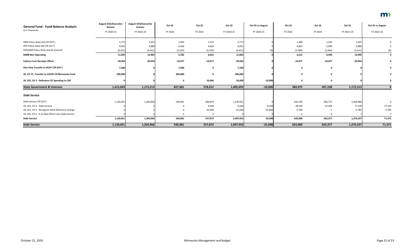| <b>General Fund - Fund Balance Analysis</b>       | <b>August EOS/Executive</b><br><b>Actions</b> | <b>August EOS/Executive</b><br><b>Actions</b> | Oct SS      | Oct SS      | Oct SS     | <b>Oct SS vs August</b> | Oct SS    | Oct SS    | Oct SS     | <b>Oct SS vs August</b> |
|---------------------------------------------------|-----------------------------------------------|-----------------------------------------------|-------------|-------------|------------|-------------------------|-----------|-----------|------------|-------------------------|
| (\$ in Thousands)                                 | FY 2020-21                                    | FY 2022-23                                    | FY 2020     | FY 2021     | FY 2020-21 | FY 2020-21              | FY 2022   | FY 2023   | FY 2022-23 | FY 2022-23              |
| DNR Police State Aid (TR OUT)                     | 2,771                                         | 3,025                                         | 1,356       | 1,415       | 2,771      |                         | 1,480     | 1,545     | 3,025      |                         |
| DPS Police State Aid (TR OUT)                     | 9,052                                         | 9,880                                         | 4,426       | 4,626       | 9,052      |                         | 4,831     | 5,049     | 9,880      |                         |
| DPS/DNR Police State Aid GF [Cancel]              | [4, 421]                                      | [4, 421]                                      | [2, 162]    | [2, 259]    | [4, 421]   |                         | [2,360]   | [2,466]   | [4, 421]   | $\left[0\right]$        |
| <b>MMB Non-Operating</b>                          | 11,823                                        | 12,905                                        | 5,782       | 6,041       | 11,823     |                         | 6,311     | 6,594     | 12,905     |                         |
| <b>Indirect Cost Receipts Offset</b>              | $-39,954$                                     | $-39,954$                                     | $-19,977$   | $-19,977$   | $-39,954$  |                         | $-19,977$ | $-19,977$ | $-39,954$  |                         |
| One time Transfer to HCAF (TR OUT)                | 7,200                                         |                                               | 7,200       | $\mathbf 0$ | 7,200      |                         |           |           |            |                         |
| 20, CH 71, Transfer to COVID-19 Minnesota Fund    | 200,000                                       |                                               | 200,000     | $\mathbf 0$ | 200,000    |                         |           |           |            |                         |
| 20, SS5, CH 3 - Refinance GF Spending to CRF      |                                               |                                               | $\mathbf 0$ | $-10,000$   | $-10,000$  | $-10,000$               |           |           |            |                         |
| <b>State Government &amp; Veterans</b>            | 1,415,693                                     | 1,172,213                                     | 827,681     | 578,012     | 1,405,693  | $-10,000$               | 584,975   | 587,238   | 1,172,213  |                         |
| <b>Debt Service</b>                               |                                               |                                               |             |             |            |                         |           |           |            |                         |
| Debt Service (TR OUT)                             | 1,130,051                                     | 1,204,966                                     | 540,081     | 589,970     | 1,130,051  |                         | 610,195   | 594,771   | 1,204,966  |                         |
| 20, SS5, CH 3 - Debt Service                      |                                               |                                               | 0           | 9,568       | 9,568      | 9,568                   | 29,550    | 47,599    | 77,149     | 77,149                  |
| 20, SS5, CH 3 - Recognize Bond Refinance Savings  |                                               |                                               |             | $-41,666$   | $-41,666$  | $-41,666$               | $-5,784$  | $-1$      | $-5,785$   | $-5,785$                |
| 20, SS5, CH 3 - E-12 Max Effort Loan Debt Service |                                               |                                               |             | $\Omega$    |            |                         | $-1$      |           |            |                         |
| <b>Debt Service</b>                               | 1,130,051                                     | 1,204,966                                     | 540,081     | 557,872     | 1,097,953  | $-32,098$               | 633,960   | 642,377   | 1,276,337  | 71,371                  |
| <b>Debt Service</b>                               | 1,130,051                                     | 1,204,966                                     | 540,081     | 557,872     | 1,097,953  | $-32,098$               | 633,960   | 642,377   | 1,276,337  | 71,371                  |